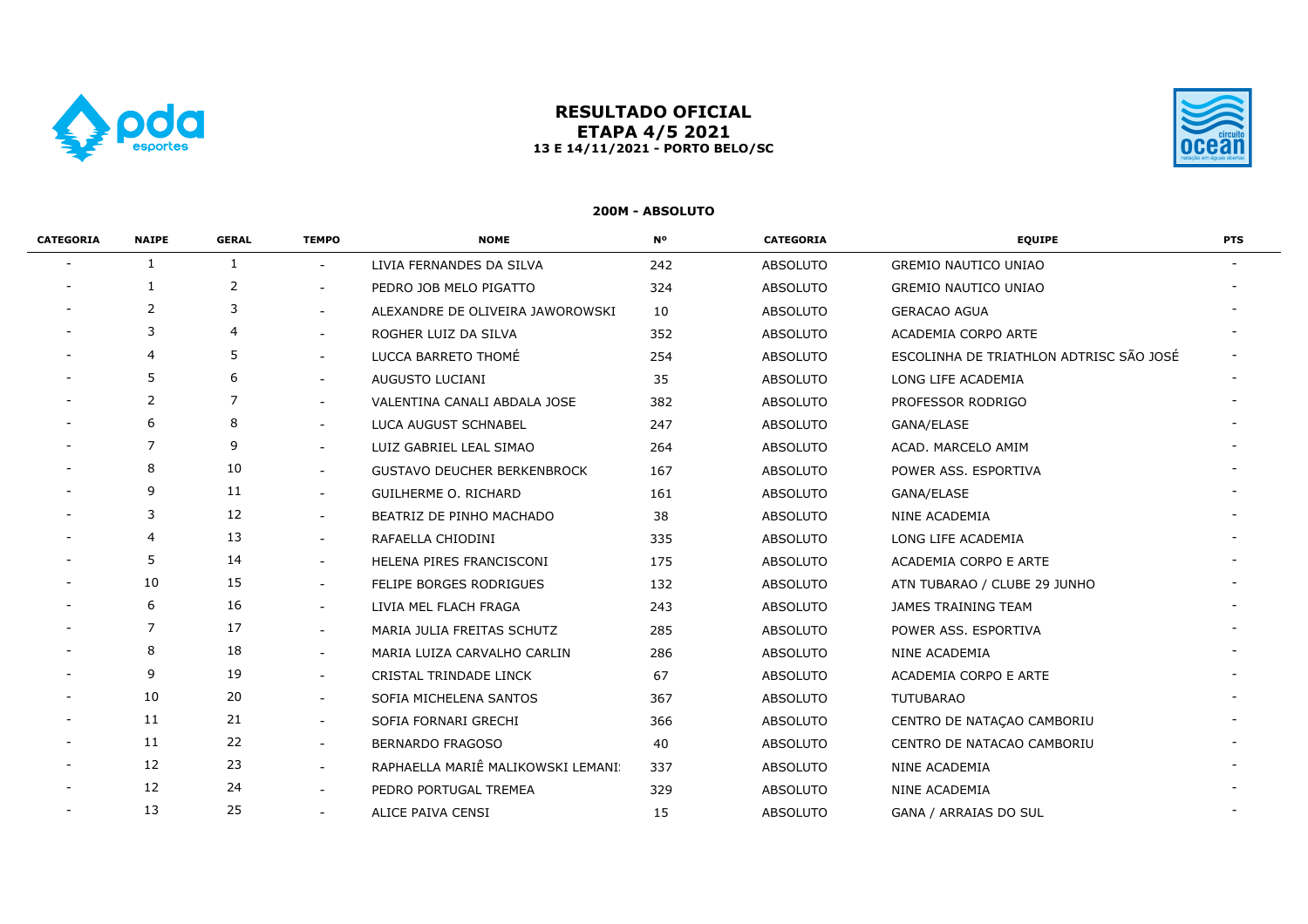

# **RESULTADO OFICIAL ETAPA 4/5 2021 13 E 14/11/2021 - PORTO BELO/SC**



#### **200M - ABSOLUTO**

| <b>CATEGORIA</b> | <b>NAIPE</b> | <b>GERAL</b> | <b>TEMPO</b>             | <b>NOME</b>                        | N°  | <b>CATEGORIA</b> | <b>EQUIPE</b>                           | <b>PTS</b> |
|------------------|--------------|--------------|--------------------------|------------------------------------|-----|------------------|-----------------------------------------|------------|
|                  | 1            | $\mathbf{1}$ | $\overline{\phantom{a}}$ | LIVIA FERNANDES DA SILVA           | 242 | <b>ABSOLUTO</b>  | <b>GREMIO NAUTICO UNIAO</b>             |            |
|                  | 1            | 2            | $\overline{\phantom{a}}$ | PEDRO JOB MELO PIGATTO             | 324 | <b>ABSOLUTO</b>  | <b>GREMIO NAUTICO UNIAO</b>             |            |
|                  | 2            | 3            | $\overline{\phantom{a}}$ | ALEXANDRE DE OLIVEIRA JAWOROWSKI   | 10  | <b>ABSOLUTO</b>  | <b>GERACAO AGUA</b>                     |            |
|                  | 3            | 4            | $\overline{\phantom{a}}$ | ROGHER LUIZ DA SILVA               | 352 | <b>ABSOLUTO</b>  | ACADEMIA CORPO ARTE                     |            |
|                  | 4            | 5            | $\overline{\phantom{a}}$ | LUCCA BARRETO THOMÉ                | 254 | <b>ABSOLUTO</b>  | ESCOLINHA DE TRIATHLON ADTRISC SÃO JOSÉ |            |
|                  | 5            | 6            | $\sim$                   | AUGUSTO LUCIANI                    | 35  | <b>ABSOLUTO</b>  | LONG LIFE ACADEMIA                      |            |
|                  | 2            | 7            | $\overline{\phantom{a}}$ | VALENTINA CANALI ABDALA JOSE       | 382 | <b>ABSOLUTO</b>  | PROFESSOR RODRIGO                       |            |
|                  | 6            | 8            | $\overline{\phantom{a}}$ | LUCA AUGUST SCHNABEL               | 247 | ABSOLUTO         | GANA/ELASE                              |            |
|                  | 7            | 9            | $\overline{\phantom{a}}$ | LUIZ GABRIEL LEAL SIMAO            | 264 | <b>ABSOLUTO</b>  | ACAD. MARCELO AMIM                      |            |
|                  | 8            | 10           | $ \,$                    | <b>GUSTAVO DEUCHER BERKENBROCK</b> | 167 | <b>ABSOLUTO</b>  | POWER ASS. ESPORTIVA                    |            |
|                  | 9            | 11           | $\overline{\phantom{a}}$ | <b>GUILHERME O. RICHARD</b>        | 161 | <b>ABSOLUTO</b>  | GANA/ELASE                              |            |
|                  | 3            | 12           | $\overline{\phantom{a}}$ | BEATRIZ DE PINHO MACHADO           | 38  | <b>ABSOLUTO</b>  | NINE ACADEMIA                           |            |
|                  | 4            | 13           | $\overline{\phantom{a}}$ | RAFAELLA CHIODINI                  | 335 | ABSOLUTO         | LONG LIFE ACADEMIA                      |            |
|                  | 5            | 14           | $\overline{\phantom{a}}$ | HELENA PIRES FRANCISCONI           | 175 | <b>ABSOLUTO</b>  | ACADEMIA CORPO E ARTE                   |            |
|                  | 10           | 15           | $\overline{\phantom{a}}$ | FELIPE BORGES RODRIGUES            | 132 | <b>ABSOLUTO</b>  | ATN TUBARAO / CLUBE 29 JUNHO            |            |
|                  | 6            | 16           | $\overline{\phantom{a}}$ | LIVIA MEL FLACH FRAGA              | 243 | <b>ABSOLUTO</b>  | JAMES TRAINING TEAM                     |            |
|                  | 7            | 17           | $\overline{\phantom{a}}$ | MARIA JULIA FREITAS SCHUTZ         | 285 | <b>ABSOLUTO</b>  | POWER ASS. ESPORTIVA                    |            |
|                  | 8            | 18           | $\overline{\phantom{a}}$ | MARIA LUIZA CARVALHO CARLIN        | 286 | <b>ABSOLUTO</b>  | NINE ACADEMIA                           |            |
|                  | 9            | 19           | $\overline{\phantom{a}}$ | CRISTAL TRINDADE LINCK             | 67  | ABSOLUTO         | ACADEMIA CORPO E ARTE                   |            |
|                  | 10           | 20           | $\overline{\phantom{a}}$ | SOFIA MICHELENA SANTOS             | 367 | <b>ABSOLUTO</b>  | <b>TUTUBARAO</b>                        |            |
|                  | 11           | 21           | $\overline{\phantom{a}}$ | SOFIA FORNARI GRECHI               | 366 | <b>ABSOLUTO</b>  | CENTRO DE NATAÇÃO CAMBORIU              |            |
|                  | 11           | 22           | $\overline{\phantom{a}}$ | BERNARDO FRAGOSO                   | 40  | <b>ABSOLUTO</b>  | CENTRO DE NATACAO CAMBORIU              |            |
|                  | 12           | 23           | $\overline{\phantom{a}}$ | RAPHAELLA MARIÊ MALIKOWSKI LEMANI: | 337 | ABSOLUTO         | NINE ACADEMIA                           |            |
|                  | 12           | 24           | $\overline{\phantom{a}}$ | PEDRO PORTUGAL TREMEA              | 329 | ABSOLUTO         | NINE ACADEMIA                           |            |
|                  | 13           | 25           | $\overline{\phantom{a}}$ | ALICE PAIVA CENSI                  | 15  | <b>ABSOLUTO</b>  | GANA / ARRAIAS DO SUL                   |            |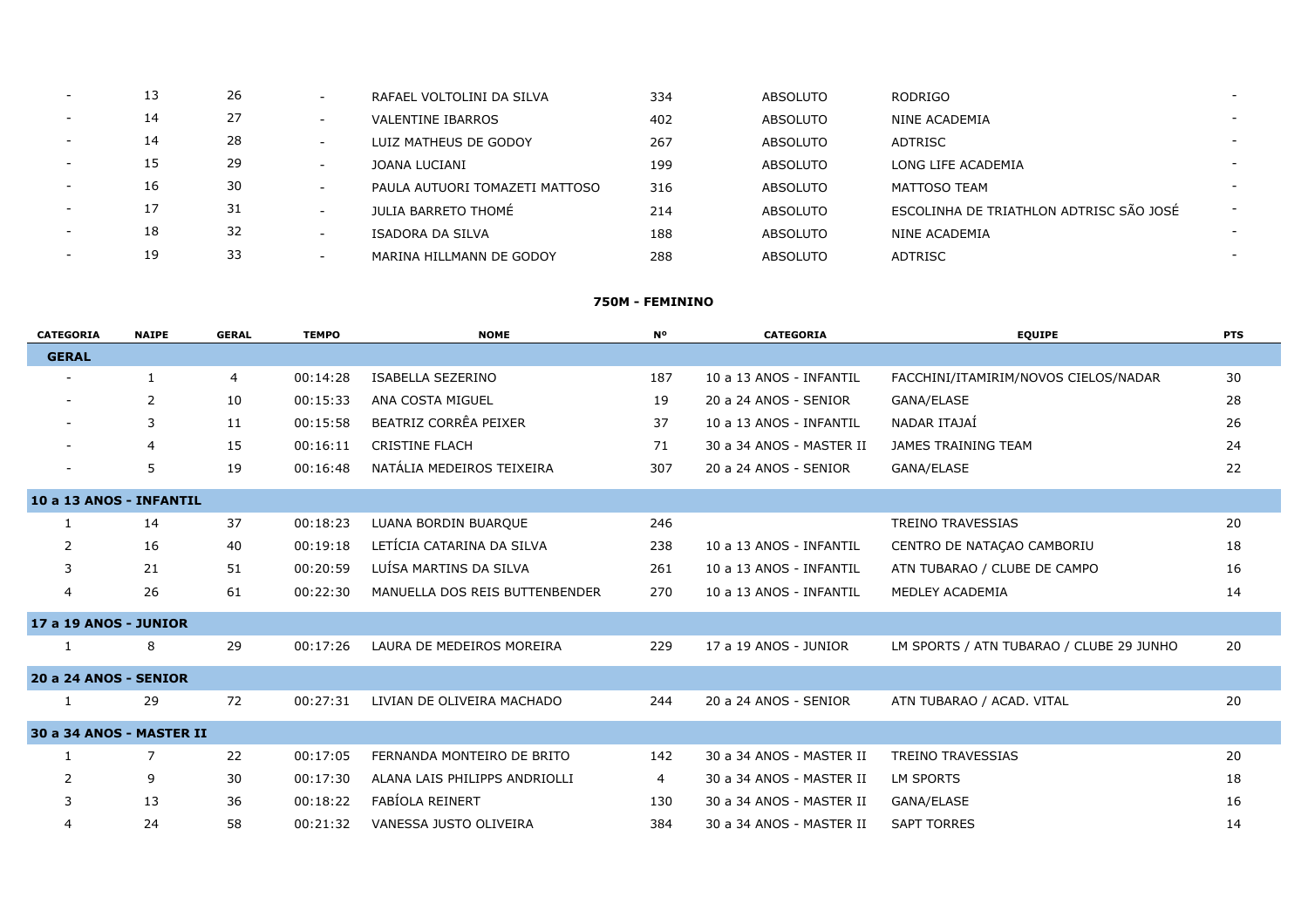| 13 | 26 |                          | RAFAEL VOLTOLINI DA SILVA      | 334 | ABSOLUTO        | RODRIGO                                 |                          |
|----|----|--------------------------|--------------------------------|-----|-----------------|-----------------------------------------|--------------------------|
| 14 | 27 | $\overline{\phantom{0}}$ | <b>VALENTINE IBARROS</b>       | 402 | <b>ABSOLUTO</b> | NINE ACADEMIA                           |                          |
| 14 | 28 |                          | LUIZ MATHEUS DE GODOY          | 267 | ABSOLUTO        | ADTRISC                                 |                          |
| 15 | 29 |                          | <b>JOANA LUCIANI</b>           | 199 | ABSOLUTO        | LONG LIFE ACADEMIA                      |                          |
| 16 | 30 |                          | PAULA AUTUORI TOMAZETI MATTOSO | 316 | ABSOLUTO        | MATTOSO TEAM                            |                          |
| 17 | 31 |                          | JULIA BARRETO THOMÉ            | 214 | ABSOLUTO        | ESCOLINHA DE TRIATHLON ADTRISC SÃO JOSÉ | $\overline{\phantom{0}}$ |
| 18 | 32 |                          | ISADORA DA SILVA               | 188 | ABSOLUTO        | NINE ACADEMIA                           |                          |
| 19 | 33 |                          | MARINA HILLMANN DE GODOY       | 288 | ABSOLUTO        | ADTRISC                                 |                          |

### **750M - FEMININO**

| <b>CATEGORIA</b>         | <b>NAIPE</b> | <b>GERAL</b> | <b>TEMPO</b> | <b>NOME</b>                    | <b>N°</b>      | <b>CATEGORIA</b>         | <b>EQUIPE</b>                            | <b>PTS</b> |
|--------------------------|--------------|--------------|--------------|--------------------------------|----------------|--------------------------|------------------------------------------|------------|
| <b>GERAL</b>             |              |              |              |                                |                |                          |                                          |            |
|                          | $\mathbf{1}$ | 4            | 00:14:28     | ISABELLA SEZERINO              | 187            | 10 a 13 ANOS - INFANTIL  | FACCHINI/ITAMIRIM/NOVOS CIELOS/NADAR     | 30         |
|                          | 2            | 10           | 00:15:33     | ANA COSTA MIGUEL               | 19             | 20 a 24 ANOS - SENIOR    | GANA/ELASE                               | 28         |
|                          | 3            | 11           | 00:15:58     | BEATRIZ CORRÊA PEIXER          | 37             | 10 a 13 ANOS - INFANTIL  | NADAR ITAJAÍ                             | 26         |
|                          | 4            | 15           | 00:16:11     | <b>CRISTINE FLACH</b>          | 71             | 30 a 34 ANOS - MASTER II | JAMES TRAINING TEAM                      | 24         |
| $\overline{\phantom{a}}$ | 5            | 19           | 00:16:48     | NATÁLIA MEDEIROS TEIXEIRA      | 307            | 20 a 24 ANOS - SENIOR    | GANA/ELASE                               | 22         |
| 10 a 13 ANOS - INFANTIL  |              |              |              |                                |                |                          |                                          |            |
| $\mathbf{1}$             | 14           | 37           | 00:18:23     | LUANA BORDIN BUARQUE           | 246            |                          | <b>TREINO TRAVESSIAS</b>                 | 20         |
| 2                        | 16           | 40           | 00:19:18     | LETÍCIA CATARINA DA SILVA      | 238            | 10 a 13 ANOS - INFANTIL  | CENTRO DE NATAÇÃO CAMBORIU               | 18         |
| 3                        | 21           | 51           | 00:20:59     | LUÍSA MARTINS DA SILVA         | 261            | 10 a 13 ANOS - INFANTIL  | ATN TUBARAO / CLUBE DE CAMPO             | 16         |
| $\overline{4}$           | 26           | 61           | 00:22:30     | MANUELLA DOS REIS BUTTENBENDER | 270            | 10 a 13 ANOS - INFANTIL  | MEDLEY ACADEMIA                          | 14         |
| 17 a 19 ANOS - JUNIOR    |              |              |              |                                |                |                          |                                          |            |
| 1                        | 8            | 29           | 00:17:26     | LAURA DE MEDEIROS MOREIRA      | 229            | 17 a 19 ANOS - JUNIOR    | LM SPORTS / ATN TUBARAO / CLUBE 29 JUNHO | 20         |
| 20 a 24 ANOS - SENIOR    |              |              |              |                                |                |                          |                                          |            |
| 1                        | 29           | 72           | 00:27:31     | LIVIAN DE OLIVEIRA MACHADO     | 244            | 20 a 24 ANOS - SENIOR    | ATN TUBARAO / ACAD. VITAL                | 20         |
| 30 a 34 ANOS - MASTER II |              |              |              |                                |                |                          |                                          |            |
| 1                        | 7            | 22           | 00:17:05     | FERNANDA MONTEIRO DE BRITO     | 142            | 30 a 34 ANOS - MASTER II | <b>TREINO TRAVESSIAS</b>                 | 20         |
| 2                        | 9            | 30           | 00:17:30     | ALANA LAIS PHILIPPS ANDRIOLLI  | $\overline{4}$ | 30 a 34 ANOS - MASTER II | <b>LM SPORTS</b>                         | 18         |
| 3                        | 13           | 36           | 00:18:22     | <b>FABÍOLA REINERT</b>         | 130            | 30 a 34 ANOS - MASTER II | GANA/ELASE                               | 16         |
| $\overline{4}$           | 24           | 58           | 00:21:32     | VANESSA JUSTO OLIVEIRA         | 384            | 30 a 34 ANOS - MASTER II | <b>SAPT TORRES</b>                       | 14         |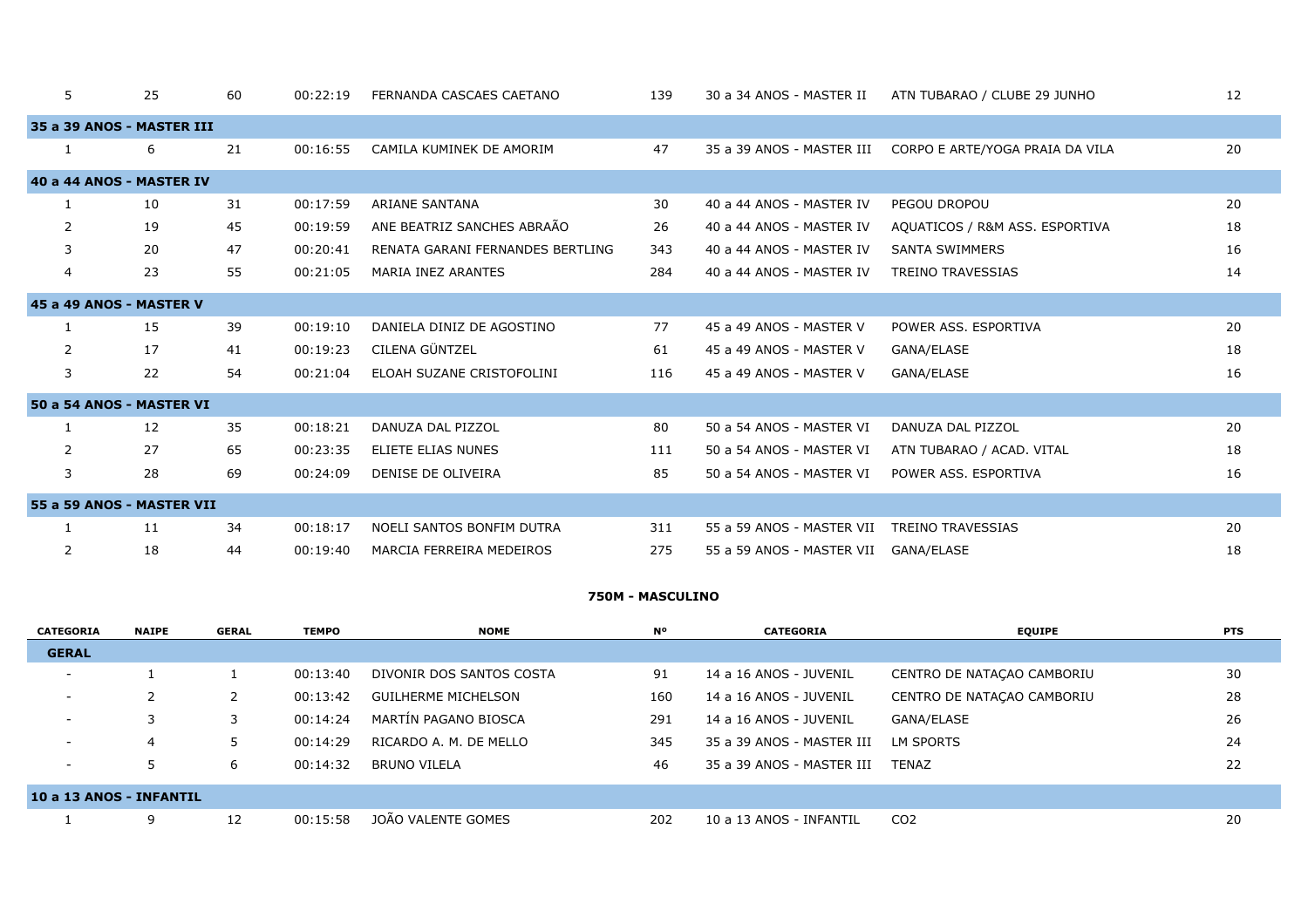| 5              | 25                        | 60 | 00:22:19 | FERNANDA CASCAES CAETANO         | 139 | 30 a 34 ANOS - MASTER II  | ATN TUBARAO / CLUBE 29 JUNHO    | 12 |
|----------------|---------------------------|----|----------|----------------------------------|-----|---------------------------|---------------------------------|----|
|                | 35 a 39 ANOS - MASTER III |    |          |                                  |     |                           |                                 |    |
| 1              | 6                         | 21 | 00:16:55 | CAMILA KUMINEK DE AMORIM         | 47  | 35 a 39 ANOS - MASTER III | CORPO E ARTE/YOGA PRAIA DA VILA | 20 |
|                | 40 a 44 ANOS - MASTER IV  |    |          |                                  |     |                           |                                 |    |
| 1              | 10                        | 31 | 00:17:59 | <b>ARIANE SANTANA</b>            | 30  | 40 a 44 ANOS - MASTER IV  | PEGOU DROPOU                    | 20 |
| $\mathcal{P}$  | 19                        | 45 | 00:19:59 | ANE BEATRIZ SANCHES ABRAÃO       | 26  | 40 a 44 ANOS - MASTER IV  | AQUATICOS / R&M ASS. ESPORTIVA  | 18 |
| 3              | 20                        | 47 | 00:20:41 | RENATA GARANI FERNANDES BERTLING | 343 | 40 a 44 ANOS - MASTER IV  | <b>SANTA SWIMMERS</b>           | 16 |
| $\overline{4}$ | 23                        | 55 | 00:21:05 | MARIA INEZ ARANTES               | 284 | 40 a 44 ANOS - MASTER IV  | <b>TREINO TRAVESSIAS</b>        | 14 |
|                | 45 a 49 ANOS - MASTER V   |    |          |                                  |     |                           |                                 |    |
| 1              | 15                        | 39 | 00:19:10 | DANIELA DINIZ DE AGOSTINO        | 77  | 45 a 49 ANOS - MASTER V   | POWER ASS, ESPORTIVA            | 20 |
| 2              | 17                        | 41 | 00:19:23 | CILENA GÜNTZEL                   | 61  | 45 a 49 ANOS - MASTER V   | GANA/ELASE                      | 18 |
| 3              | 22                        | 54 | 00:21:04 | ELOAH SUZANE CRISTOFOLINI        | 116 | 45 a 49 ANOS - MASTER V   | GANA/ELASE                      | 16 |
|                | 50 a 54 ANOS - MASTER VI  |    |          |                                  |     |                           |                                 |    |
| 1              | 12                        | 35 | 00:18:21 | DANUZA DAL PIZZOL                | 80  | 50 a 54 ANOS - MASTER VI  | DANUZA DAL PIZZOL               | 20 |
| 2              | 27                        | 65 | 00:23:35 | ELIETE ELIAS NUNES               | 111 | 50 a 54 ANOS - MASTER VI  | ATN TUBARAO / ACAD. VITAL       | 18 |
| 3              | 28                        | 69 | 00:24:09 | DENISE DE OLIVEIRA               | 85  | 50 a 54 ANOS - MASTER VI  | POWER ASS, ESPORTIVA            | 16 |
|                | 55 a 59 ANOS - MASTER VII |    |          |                                  |     |                           |                                 |    |
|                | 11                        | 34 | 00:18:17 | NOELI SANTOS BONFIM DUTRA        | 311 | 55 a 59 ANOS - MASTER VII | <b>TREINO TRAVESSIAS</b>        | 20 |
| 2              | 18                        | 44 | 00:19:40 | MARCIA FERREIRA MEDEIROS         | 275 | 55 a 59 ANOS - MASTER VII | GANA/ELASE                      | 18 |

## **750M - MASCULINO**

| <b>CATEGORIA</b>         | <b>NAIPE</b> | <b>GERAL</b> | <b>TEMPO</b> | <b>NOME</b>                | N°  | <b>CATEGORIA</b>          | <b>EQUIPE</b>              | <b>PTS</b> |  |  |
|--------------------------|--------------|--------------|--------------|----------------------------|-----|---------------------------|----------------------------|------------|--|--|
| <b>GERAL</b>             |              |              |              |                            |     |                           |                            |            |  |  |
| $\overline{\phantom{a}}$ |              |              | 00:13:40     | DIVONIR DOS SANTOS COSTA   | 91  | 14 a 16 ANOS - JUVENIL    | CENTRO DE NATAÇÃO CAMBORIU | 30         |  |  |
| $\overline{\phantom{a}}$ |              | ∠            | 00:13:42     | <b>GUILHERME MICHELSON</b> | 160 | 14 a 16 ANOS - JUVENIL    | CENTRO DE NATAÇÃO CAMBORIU | 28         |  |  |
| $\overline{\phantom{a}}$ |              |              | 00:14:24     | MARTÍN PAGANO BIOSCA       | 291 | 14 a 16 ANOS - JUVENIL    | GANA/ELASE                 | 26         |  |  |
| $\overline{\phantom{a}}$ | 4            |              | 00:14:29     | RICARDO A. M. DE MELLO     | 345 | 35 a 39 ANOS - MASTER III | <b>LM SPORTS</b>           | 24         |  |  |
| $\overline{\phantom{0}}$ |              | 6            | 00:14:32     | <b>BRUNO VILELA</b>        | 46  | 35 a 39 ANOS - MASTER III | <b>TENAZ</b>               | 22         |  |  |
| 10 a 13 ANOS - INFANTIL  |              |              |              |                            |     |                           |                            |            |  |  |
|                          | 9            | 12           | 00:15:58     | JOÃO VALENTE GOMES         | 202 | 10 a 13 ANOS - INFANTIL   | CO <sub>2</sub>            | 20         |  |  |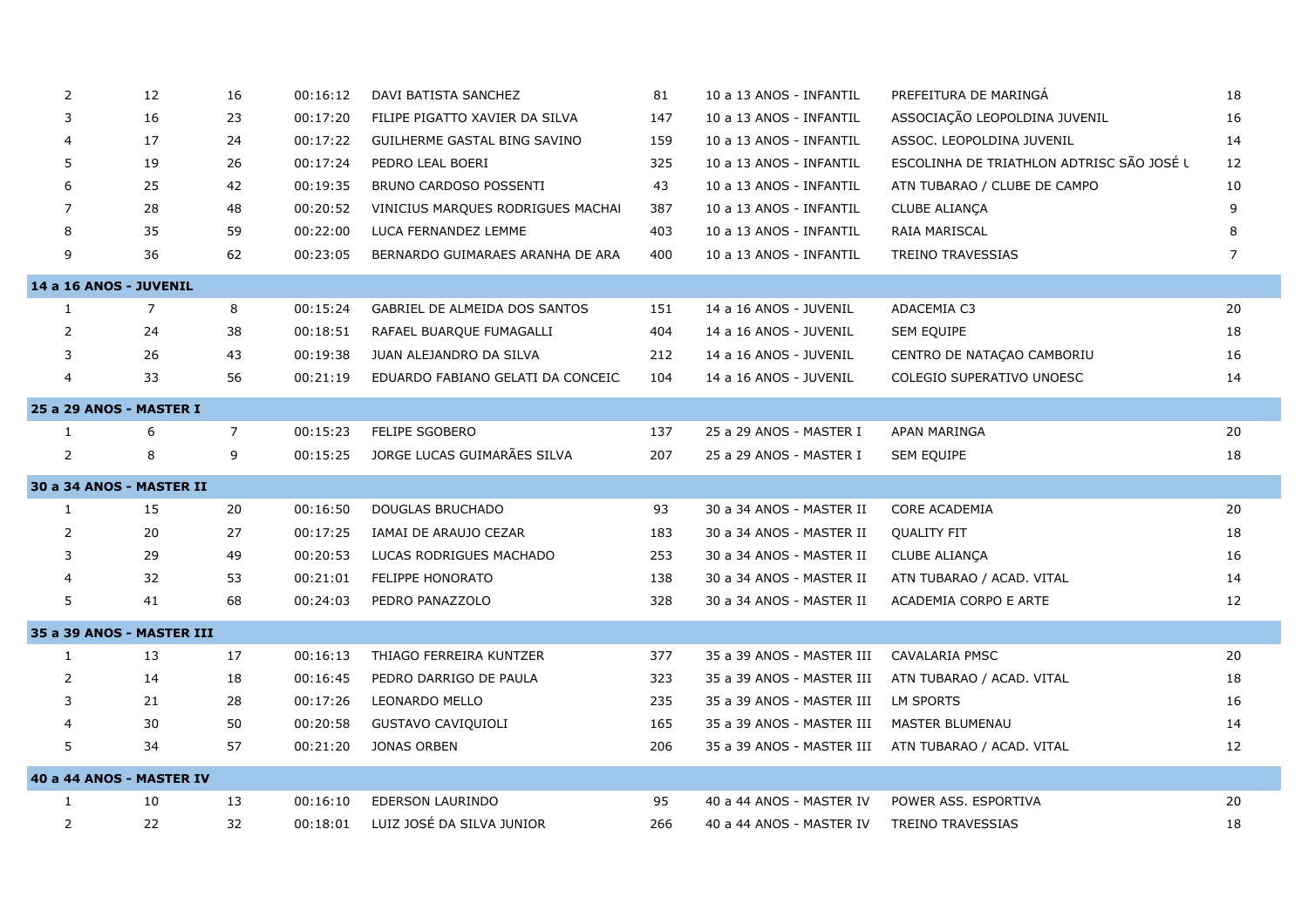| 2            | 12                        | 16             | 00:16:12 | DAVI BATISTA SANCHEZ               | 81  | 10 a 13 ANOS - INFANTIL   | PREFEITURA DE MARINGA                               | 18             |
|--------------|---------------------------|----------------|----------|------------------------------------|-----|---------------------------|-----------------------------------------------------|----------------|
| 3            | 16                        | 23             | 00:17:20 | FILIPE PIGATTO XAVIER DA SILVA     | 147 | 10 a 13 ANOS - INFANTIL   | ASSOCIAÇÃO LEOPOLDINA JUVENIL                       | 16             |
|              | 17                        | 24             | 00:17:22 | GUILHERME GASTAL BING SAVINO       | 159 | 10 a 13 ANOS - INFANTIL   | ASSOC. LEOPOLDINA JUVENIL                           | 14             |
| 5            | 19                        | 26             | 00:17:24 | PEDRO LEAL BOERI                   | 325 | 10 a 13 ANOS - INFANTIL   | ESCOLINHA DE TRIATHLON ADTRISC SÃO JOSÉ L           | 12             |
| 6            | 25                        | 42             | 00:19:35 | BRUNO CARDOSO POSSENTI             | 43  | 10 a 13 ANOS - INFANTIL   | ATN TUBARAO / CLUBE DE CAMPO                        | 10             |
| 7            | 28                        | 48             | 00:20:52 | VINICIUS MARQUES RODRIGUES MACHAI  | 387 | 10 a 13 ANOS - INFANTIL   | <b>CLUBE ALIANÇA</b>                                | 9              |
| 8            | 35                        | 59             | 00:22:00 | LUCA FERNANDEZ LEMME               | 403 | 10 a 13 ANOS - INFANTIL   | RAIA MARISCAL                                       | 8              |
| 9            | 36                        | 62             | 00:23:05 | BERNARDO GUIMARAES ARANHA DE ARA   | 400 | 10 a 13 ANOS - INFANTIL   | TREINO TRAVESSIAS                                   | $\overline{7}$ |
|              | 14 a 16 ANOS - JUVENIL    |                |          |                                    |     |                           |                                                     |                |
| $\mathbf{1}$ | $\overline{7}$            | 8              | 00:15:24 | GABRIEL DE ALMEIDA DOS SANTOS      | 151 | 14 a 16 ANOS - JUVENIL    | ADACEMIA C3                                         | 20             |
| 2            | 24                        | 38             | 00:18:51 | RAFAEL BUARQUE FUMAGALLI           | 404 | 14 a 16 ANOS - JUVENIL    | <b>SEM EQUIPE</b>                                   | 18             |
| 3            | 26                        | 43             | 00:19:38 | JUAN ALEJANDRO DA SILVA            | 212 | 14 a 16 ANOS - JUVENIL    | CENTRO DE NATAÇÃO CAMBORIU                          | 16             |
| 4            | 33                        | 56             | 00:21:19 | EDUARDO FABIANO GELATI DA CONCEIC. | 104 | 14 a 16 ANOS - JUVENIL    | COLEGIO SUPERATIVO UNOESC                           | 14             |
|              | 25 a 29 ANOS - MASTER I   |                |          |                                    |     |                           |                                                     |                |
| $\mathbf{1}$ | 6                         | $\overline{7}$ | 00:15:23 | <b>FELIPE SGOBERO</b>              | 137 | 25 a 29 ANOS - MASTER I   | APAN MARINGA                                        | 20             |
| 2            | 8                         | 9              | 00:15:25 | JORGE LUCAS GUIMARÃES SILVA        | 207 | 25 a 29 ANOS - MASTER I   | <b>SEM EQUIPE</b>                                   | 18             |
|              | 30 a 34 ANOS - MASTER II  |                |          |                                    |     |                           |                                                     |                |
| 1            | 15                        | 20             | 00:16:50 | <b>DOUGLAS BRUCHADO</b>            | 93  | 30 a 34 ANOS - MASTER II  | CORE ACADEMIA                                       | 20             |
| 2            | 20                        | 27             | 00:17:25 | IAMAI DE ARAUJO CEZAR              | 183 | 30 a 34 ANOS - MASTER II  | <b>QUALITY FIT</b>                                  | 18             |
| 3            | 29                        | 49             | 00:20:53 | LUCAS RODRIGUES MACHADO            | 253 | 30 a 34 ANOS - MASTER II  | CLUBE ALIANÇA                                       | 16             |
|              | 32                        | 53             | 00:21:01 | <b>FELIPPE HONORATO</b>            | 138 | 30 a 34 ANOS - MASTER II  | ATN TUBARAO / ACAD. VITAL                           | 14             |
| 5            | 41                        | 68             | 00:24:03 | PEDRO PANAZZOLO                    | 328 | 30 a 34 ANOS - MASTER II  | ACADEMIA CORPO E ARTE                               | 12             |
|              | 35 a 39 ANOS - MASTER III |                |          |                                    |     |                           |                                                     |                |
| $\mathbf{1}$ | 13                        | 17             | 00:16:13 | THIAGO FERREIRA KUNTZER            | 377 | 35 a 39 ANOS - MASTER III | CAVALARIA PMSC                                      | 20             |
| 2            | 14                        | 18             | 00:16:45 | PEDRO DARRIGO DE PAULA             | 323 | 35 a 39 ANOS - MASTER III | ATN TUBARAO / ACAD. VITAL                           | 18             |
| 3            | 21                        | 28             | 00:17:26 | LEONARDO MELLO                     | 235 | 35 a 39 ANOS - MASTER III | <b>LM SPORTS</b>                                    | 16             |
|              | 30                        | 50             | 00:20:58 | GUSTAVO CAVIQUIOLI                 | 165 | 35 a 39 ANOS - MASTER III | MASTER BLUMENAU                                     | 14             |
| 5            | 34                        | 57             | 00:21:20 | JONAS ORBEN                        | 206 |                           | 35 a 39 ANOS - MASTER III ATN TUBARAO / ACAD. VITAL | 12             |
|              | 40 a 44 ANOS - MASTER IV  |                |          |                                    |     |                           |                                                     |                |
| $\mathbf{1}$ | 10                        | 13             | 00:16:10 | <b>EDERSON LAURINDO</b>            | 95  | 40 a 44 ANOS - MASTER IV  | POWER ASS, ESPORTIVA                                | 20             |
| 2            | 22                        | 32             | 00:18:01 | LUIZ JOSÉ DA SILVA JUNIOR          | 266 | 40 a 44 ANOS - MASTER IV  | <b>TREINO TRAVESSIAS</b>                            | 18             |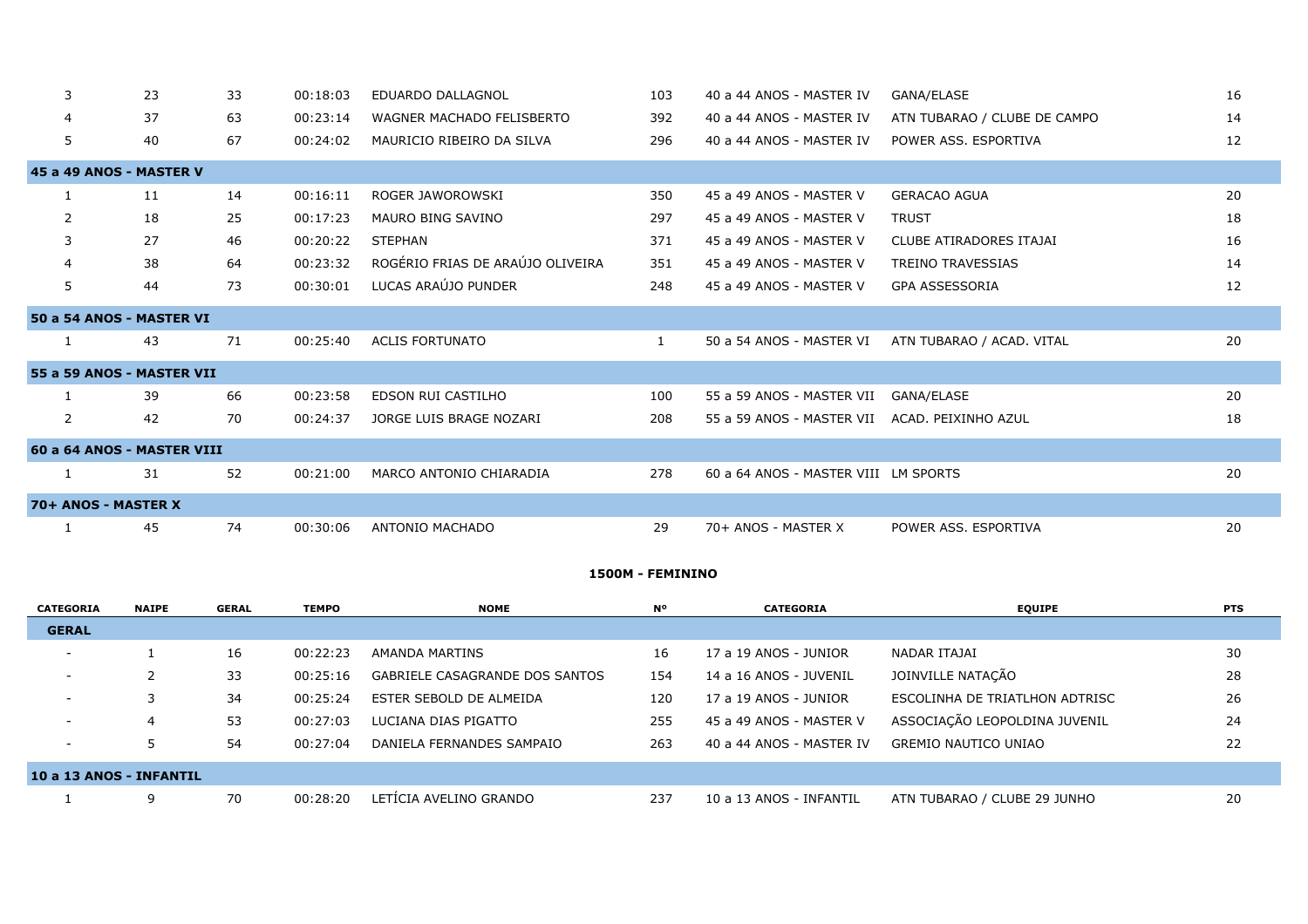| 3              | 23                         | 33 | 00:18:03 | <b>EDUARDO DALLAGNOL</b>         | 103          | 40 a 44 ANOS - MASTER IV             | GANA/ELASE                   | 16 |
|----------------|----------------------------|----|----------|----------------------------------|--------------|--------------------------------------|------------------------------|----|
| 4              | 37                         | 63 | 00:23:14 | WAGNER MACHADO FELISBERTO        | 392          | 40 a 44 ANOS - MASTER IV             | ATN TUBARAO / CLUBE DE CAMPO | 14 |
| 5              | 40                         | 67 | 00:24:02 | MAURICIO RIBEIRO DA SILVA        | 296          | 40 a 44 ANOS - MASTER IV             | POWER ASS, ESPORTIVA         | 12 |
|                | 45 a 49 ANOS - MASTER V    |    |          |                                  |              |                                      |                              |    |
| 1              | 11                         | 14 | 00:16:11 | ROGER JAWOROWSKI                 | 350          | 45 a 49 ANOS - MASTER V              | <b>GERACAO AGUA</b>          | 20 |
| $\overline{2}$ | 18                         | 25 | 00:17:23 | MAURO BING SAVINO                | 297          | 45 a 49 ANOS - MASTER V              | <b>TRUST</b>                 | 18 |
| 3              | 27                         | 46 | 00:20:22 | <b>STEPHAN</b>                   | 371          | 45 a 49 ANOS - MASTER V              | CLUBE ATIRADORES ITAJAI      | 16 |
| $\overline{4}$ | 38                         | 64 | 00:23:32 | ROGÉRIO FRIAS DE ARAÚJO OLIVEIRA | 351          | 45 a 49 ANOS - MASTER V              | <b>TREINO TRAVESSIAS</b>     | 14 |
| 5              | 44                         | 73 | 00:30:01 | LUCAS ARAÚJO PUNDER              | 248          | 45 a 49 ANOS - MASTER V              | <b>GPA ASSESSORIA</b>        | 12 |
|                | 50 a 54 ANOS - MASTER VI   |    |          |                                  |              |                                      |                              |    |
| 1              | 43                         | 71 | 00:25:40 | <b>ACLIS FORTUNATO</b>           | $\mathbf{1}$ | 50 a 54 ANOS - MASTER VI             | ATN TUBARAO / ACAD. VITAL    | 20 |
|                | 55 a 59 ANOS - MASTER VII  |    |          |                                  |              |                                      |                              |    |
| 1              | 39                         | 66 | 00:23:58 | <b>EDSON RUI CASTILHO</b>        | 100          | 55 a 59 ANOS - MASTER VII            | GANA/ELASE                   | 20 |
| 2              | 42                         | 70 | 00:24:37 | JORGE LUIS BRAGE NOZARI          | 208          | 55 a 59 ANOS - MASTER VII            | ACAD. PEIXINHO AZUL          | 18 |
|                | 60 a 64 ANOS - MASTER VIII |    |          |                                  |              |                                      |                              |    |
|                | 31                         | 52 | 00:21:00 | MARCO ANTONIO CHIARADIA          | 278          | 60 a 64 ANOS - MASTER VIII LM SPORTS |                              | 20 |
|                | 70+ ANOS - MASTER X        |    |          |                                  |              |                                      |                              |    |
|                | 45                         | 74 | 00:30:06 | <b>ANTONIO MACHADO</b>           | 29           | 70+ ANOS - MASTER X                  | POWER ASS, ESPORTIVA         | 20 |

### **1500M - FEMININO**

| <b>CATEGORIA</b>         | <b>NAIPE</b> | <b>GERAL</b> | <b>TEMPO</b> | <b>NOME</b>                           | <b>N°</b> | <b>CATEGORIA</b>         | <b>EQUIPE</b>                  | <b>PTS</b> |  |  |
|--------------------------|--------------|--------------|--------------|---------------------------------------|-----------|--------------------------|--------------------------------|------------|--|--|
| <b>GERAL</b>             |              |              |              |                                       |           |                          |                                |            |  |  |
| $\overline{\phantom{0}}$ |              | 16           | 00:22:23     | AMANDA MARTINS                        | 16        | 17 a 19 ANOS - JUNIOR    | NADAR ITAJAI                   | 30         |  |  |
| $\overline{\phantom{0}}$ |              | 33           | 00:25:16     | <b>GABRIELE CASAGRANDE DOS SANTOS</b> | 154       | 14 a 16 ANOS - JUVENIL   | JOINVILLE NATAÇÃO              | 28         |  |  |
| $\overline{\phantom{0}}$ | 3            | 34           | 00:25:24     | ESTER SEBOLD DE ALMEIDA               | 120       | 17 a 19 ANOS - JUNIOR    | ESCOLINHA DE TRIATLHON ADTRISC | 26         |  |  |
| $\overline{\phantom{0}}$ | 4            | 53           | 00:27:03     | LUCIANA DIAS PIGATTO                  | 255       | 45 a 49 ANOS - MASTER V  | ASSOCIAÇÃO LEOPOLDINA JUVENIL  | 24         |  |  |
| $\overline{\phantom{0}}$ | 5            | 54           | 00:27:04     | DANIELA FERNANDES SAMPAIO             | 263       | 40 a 44 ANOS - MASTER IV | <b>GREMIO NAUTICO UNIAO</b>    | 22         |  |  |
| 10 a 13 ANOS - INFANTIL  |              |              |              |                                       |           |                          |                                |            |  |  |
|                          | 9            | 70           | 00:28:20     | LETÍCIA AVELINO GRANDO                | 237       | 10 a 13 ANOS - INFANTIL  | ATN TUBARAO / CLUBE 29 JUNHO   | 20         |  |  |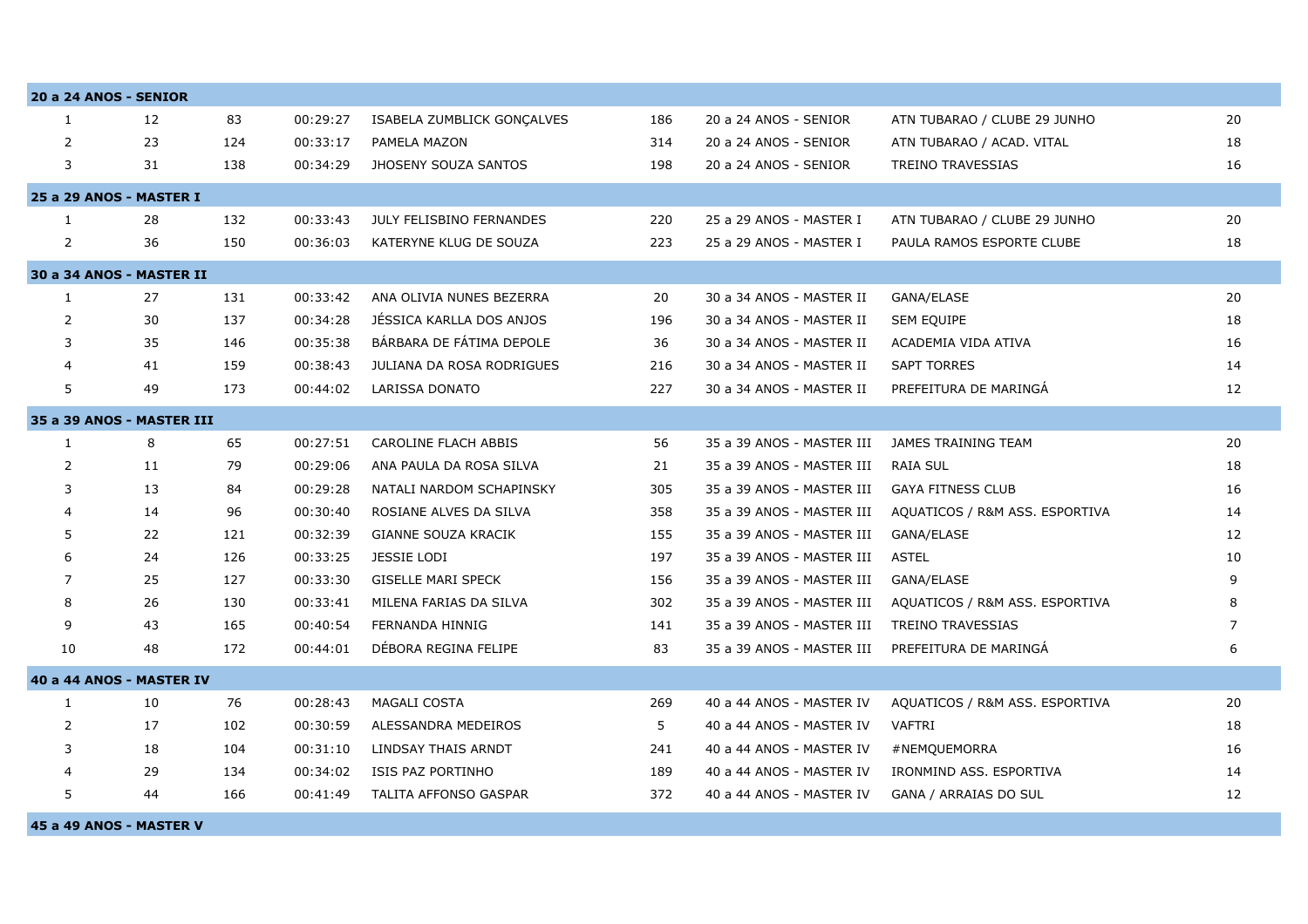|                | <b>20 a 24 ANOS - SENIOR</b> |     |          |                              |     |                           |                                |    |
|----------------|------------------------------|-----|----------|------------------------------|-----|---------------------------|--------------------------------|----|
| $\mathbf{1}$   | 12                           | 83  | 00:29:27 | ISABELA ZUMBLICK GONCALVES   | 186 | 20 a 24 ANOS - SENIOR     | ATN TUBARAO / CLUBE 29 JUNHO   | 20 |
| $\overline{2}$ | 23                           | 124 | 00:33:17 | PAMELA MAZON                 | 314 | 20 a 24 ANOS - SENIOR     | ATN TUBARAO / ACAD. VITAL      | 18 |
| 3              | 31                           | 138 | 00:34:29 | JHOSENY SOUZA SANTOS         | 198 | 20 a 24 ANOS - SENIOR     | TREINO TRAVESSIAS              | 16 |
|                | 25 a 29 ANOS - MASTER I      |     |          |                              |     |                           |                                |    |
| $\mathbf{1}$   | 28                           | 132 | 00:33:43 | JULY FELISBINO FERNANDES     | 220 | 25 a 29 ANOS - MASTER I   | ATN TUBARAO / CLUBE 29 JUNHO   | 20 |
| 2              | 36                           | 150 | 00:36:03 | KATERYNE KLUG DE SOUZA       | 223 | 25 a 29 ANOS - MASTER I   | PAULA RAMOS ESPORTE CLUBE      | 18 |
|                | 30 a 34 ANOS - MASTER II     |     |          |                              |     |                           |                                |    |
| $\mathbf{1}$   | 27                           | 131 | 00:33:42 | ANA OLIVIA NUNES BEZERRA     | 20  | 30 a 34 ANOS - MASTER II  | GANA/ELASE                     | 20 |
| 2              | 30                           | 137 | 00:34:28 | JÉSSICA KARLLA DOS ANJOS     | 196 | 30 a 34 ANOS - MASTER II  | <b>SEM EQUIPE</b>              | 18 |
| 3              | 35                           | 146 | 00:35:38 | BÁRBARA DE FÁTIMA DEPOLE     | 36  | 30 a 34 ANOS - MASTER II  | ACADEMIA VIDA ATIVA            | 16 |
| 4              | 41                           | 159 | 00:38:43 | JULIANA DA ROSA RODRIGUES    | 216 | 30 a 34 ANOS - MASTER II  | <b>SAPT TORRES</b>             | 14 |
| 5              | 49                           | 173 | 00:44:02 | LARISSA DONATO               | 227 | 30 a 34 ANOS - MASTER II  | PREFEITURA DE MARINGA          | 12 |
|                | 35 a 39 ANOS - MASTER III    |     |          |                              |     |                           |                                |    |
| $\mathbf{1}$   | 8                            | 65  | 00:27:51 | CAROLINE FLACH ABBIS         | 56  | 35 a 39 ANOS - MASTER III | JAMES TRAINING TEAM            | 20 |
| 2              | 11                           | 79  | 00:29:06 | ANA PAULA DA ROSA SILVA      | 21  | 35 a 39 ANOS - MASTER III | RAIA SUL                       | 18 |
| 3              | 13                           | 84  | 00:29:28 | NATALI NARDOM SCHAPINSKY     | 305 | 35 a 39 ANOS - MASTER III | <b>GAYA FITNESS CLUB</b>       | 16 |
| 4              | 14                           | 96  | 00:30:40 | ROSIANE ALVES DA SILVA       | 358 | 35 a 39 ANOS - MASTER III | AQUATICOS / R&M ASS. ESPORTIVA | 14 |
| 5              | 22                           | 121 | 00:32:39 | GIANNE SOUZA KRACIK          | 155 | 35 a 39 ANOS - MASTER III | GANA/ELASE                     | 12 |
| 6              | 24                           | 126 | 00:33:25 | <b>JESSIE LODI</b>           | 197 | 35 a 39 ANOS - MASTER III | <b>ASTEL</b>                   | 10 |
| 7              | 25                           | 127 | 00:33:30 | <b>GISELLE MARI SPECK</b>    | 156 | 35 a 39 ANOS - MASTER III | GANA/ELASE                     | 9  |
| 8              | 26                           | 130 | 00:33:41 | MILENA FARIAS DA SILVA       | 302 | 35 a 39 ANOS - MASTER III | AQUATICOS / R&M ASS. ESPORTIVA | 8  |
| 9              | 43                           | 165 | 00:40:54 | FERNANDA HINNIG              | 141 | 35 a 39 ANOS - MASTER III | TREINO TRAVESSIAS              | 7  |
| 10             | 48                           | 172 | 00:44:01 | DÉBORA REGINA FELIPE         | 83  | 35 a 39 ANOS - MASTER III | PREFEITURA DE MARINGA          | 6  |
|                | 40 a 44 ANOS - MASTER IV     |     |          |                              |     |                           |                                |    |
| $\mathbf{1}$   | 10                           | 76  | 00:28:43 | <b>MAGALI COSTA</b>          | 269 | 40 a 44 ANOS - MASTER IV  | AQUATICOS / R&M ASS. ESPORTIVA | 20 |
| 2              | 17                           | 102 | 00:30:59 | ALESSANDRA MEDEIROS          | 5   | 40 a 44 ANOS - MASTER IV  | VAFTRI                         | 18 |
| 3              | 18                           | 104 | 00:31:10 | LINDSAY THAIS ARNDT          | 241 | 40 a 44 ANOS - MASTER IV  | #NEMQUEMORRA                   | 16 |
| 4              | 29                           | 134 | 00:34:02 | ISIS PAZ PORTINHO            | 189 | 40 a 44 ANOS - MASTER IV  | IRONMIND ASS, ESPORTIVA        | 14 |
| 5              | 44                           | 166 | 00:41:49 | <b>TALITA AFFONSO GASPAR</b> | 372 | 40 a 44 ANOS - MASTER IV  | GANA / ARRAIAS DO SUL          | 12 |

**45 a 49 ANOS - MASTER V**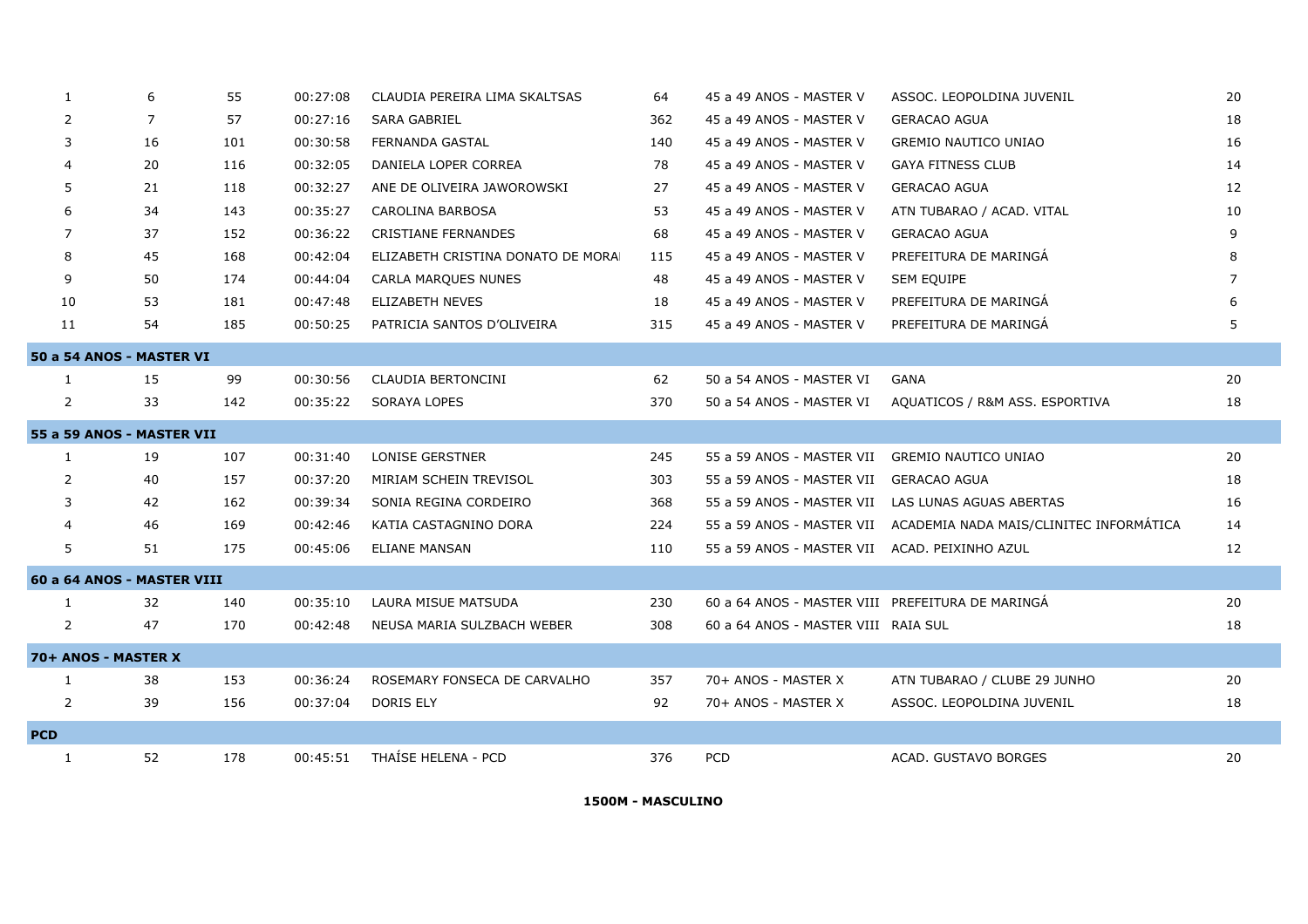| $\mathbf{1}$   | 6                          | 55  | 00:27:08 | CLAUDIA PEREIRA LIMA SKALTSAS      | 64  | 45 a 49 ANOS - MASTER V                          | ASSOC. LEOPOLDINA JUVENIL                                         | 20 |
|----------------|----------------------------|-----|----------|------------------------------------|-----|--------------------------------------------------|-------------------------------------------------------------------|----|
| 2              | $\overline{7}$             | 57  | 00:27:16 | SARA GABRIEL                       | 362 | 45 a 49 ANOS - MASTER V                          | <b>GERACAO AGUA</b>                                               | 18 |
| 3              | 16                         | 101 | 00:30:58 | FERNANDA GASTAL                    | 140 | 45 a 49 ANOS - MASTER V                          | <b>GREMIO NAUTICO UNIAO</b>                                       | 16 |
| $\overline{4}$ | 20                         | 116 | 00:32:05 | DANIELA LOPER CORREA               | 78  | 45 a 49 ANOS - MASTER V                          | <b>GAYA FITNESS CLUB</b>                                          | 14 |
| 5              | 21                         | 118 | 00:32:27 | ANE DE OLIVEIRA JAWOROWSKI         | 27  | 45 a 49 ANOS - MASTER V                          | <b>GERACAO AGUA</b>                                               | 12 |
| 6              | 34                         | 143 | 00:35:27 | CAROLINA BARBOSA                   | 53  | 45 a 49 ANOS - MASTER V                          | ATN TUBARAO / ACAD. VITAL                                         | 10 |
| 7              | 37                         | 152 | 00:36:22 | CRISTIANE FERNANDES                | 68  | 45 a 49 ANOS - MASTER V                          | <b>GERACAO AGUA</b>                                               | 9  |
| 8              | 45                         | 168 | 00:42:04 | ELIZABETH CRISTINA DONATO DE MORAI | 115 | 45 a 49 ANOS - MASTER V                          | PREFEITURA DE MARINGA                                             | 8  |
| 9              | 50                         | 174 | 00:44:04 | CARLA MARQUES NUNES                | 48  | 45 a 49 ANOS - MASTER V                          | SEM EQUIPE                                                        | 7  |
| 10             | 53                         | 181 | 00:47:48 | <b>ELIZABETH NEVES</b>             | 18  | 45 a 49 ANOS - MASTER V                          | PREFEITURA DE MARINGÁ                                             | 6  |
| 11             | 54                         | 185 | 00:50:25 | PATRICIA SANTOS D'OLIVEIRA         | 315 | 45 a 49 ANOS - MASTER V                          | PREFEITURA DE MARINGA                                             | 5  |
|                | 50 a 54 ANOS - MASTER VI   |     |          |                                    |     |                                                  |                                                                   |    |
| $\mathbf{1}$   | 15                         | 99  | 00:30:56 | CLAUDIA BERTONCINI                 | 62  | 50 a 54 ANOS - MASTER VI                         | <b>GANA</b>                                                       | 20 |
| 2              | 33                         | 142 | 00:35:22 | SORAYA LOPES                       | 370 | 50 a 54 ANOS - MASTER VI                         | AQUATICOS / R&M ASS. ESPORTIVA                                    | 18 |
|                | 55 a 59 ANOS - MASTER VII  |     |          |                                    |     |                                                  |                                                                   |    |
| $\mathbf{1}$   | 19                         | 107 | 00:31:40 | <b>LONISE GERSTNER</b>             | 245 | 55 a 59 ANOS - MASTER VII                        | <b>GREMIO NAUTICO UNIAO</b>                                       | 20 |
| 2              | 40                         | 157 | 00:37:20 | MIRIAM SCHEIN TREVISOL             | 303 | 55 a 59 ANOS - MASTER VII GERACAO AGUA           |                                                                   | 18 |
| 3              | 42                         | 162 | 00:39:34 | SONIA REGINA CORDEIRO              | 368 |                                                  | 55 a 59 ANOS - MASTER VII LAS LUNAS AGUAS ABERTAS                 | 16 |
| 4              | 46                         | 169 | 00:42:46 | KATIA CASTAGNINO DORA              | 224 |                                                  | 55 a 59 ANOS - MASTER VII ACADEMIA NADA MAIS/CLINITEC INFORMÁTICA | 14 |
| 5              | 51                         | 175 | 00:45:06 | ELIANE MANSAN                      | 110 | 55 a 59 ANOS - MASTER VII ACAD. PEIXINHO AZUL    |                                                                   | 12 |
|                | 60 a 64 ANOS - MASTER VIII |     |          |                                    |     |                                                  |                                                                   |    |
| 1              | 32                         | 140 | 00:35:10 | LAURA MISUE MATSUDA                | 230 | 60 a 64 ANOS - MASTER VIII PREFEITURA DE MARINGA |                                                                   | 20 |
| 2              | 47                         | 170 | 00:42:48 | NEUSA MARIA SULZBACH WEBER         | 308 | 60 a 64 ANOS - MASTER VIII RAIA SUL              |                                                                   | 18 |
|                | 70+ ANOS - MASTER X        |     |          |                                    |     |                                                  |                                                                   |    |
| $\mathbf{1}$   | 38                         | 153 | 00:36:24 | ROSEMARY FONSECA DE CARVALHO       | 357 | 70+ ANOS - MASTER X                              | ATN TUBARAO / CLUBE 29 JUNHO                                      | 20 |
| 2              | 39                         | 156 | 00:37:04 | DORIS ELY                          | 92  | 70+ ANOS - MASTER X                              | ASSOC. LEOPOLDINA JUVENIL                                         | 18 |
| <b>PCD</b>     |                            |     |          |                                    |     |                                                  |                                                                   |    |
| 1              | 52                         | 178 | 00:45:51 | THAÍSE HELENA - PCD                | 376 | PCD                                              | ACAD. GUSTAVO BORGES                                              | 20 |

**1500M - MASCULINO**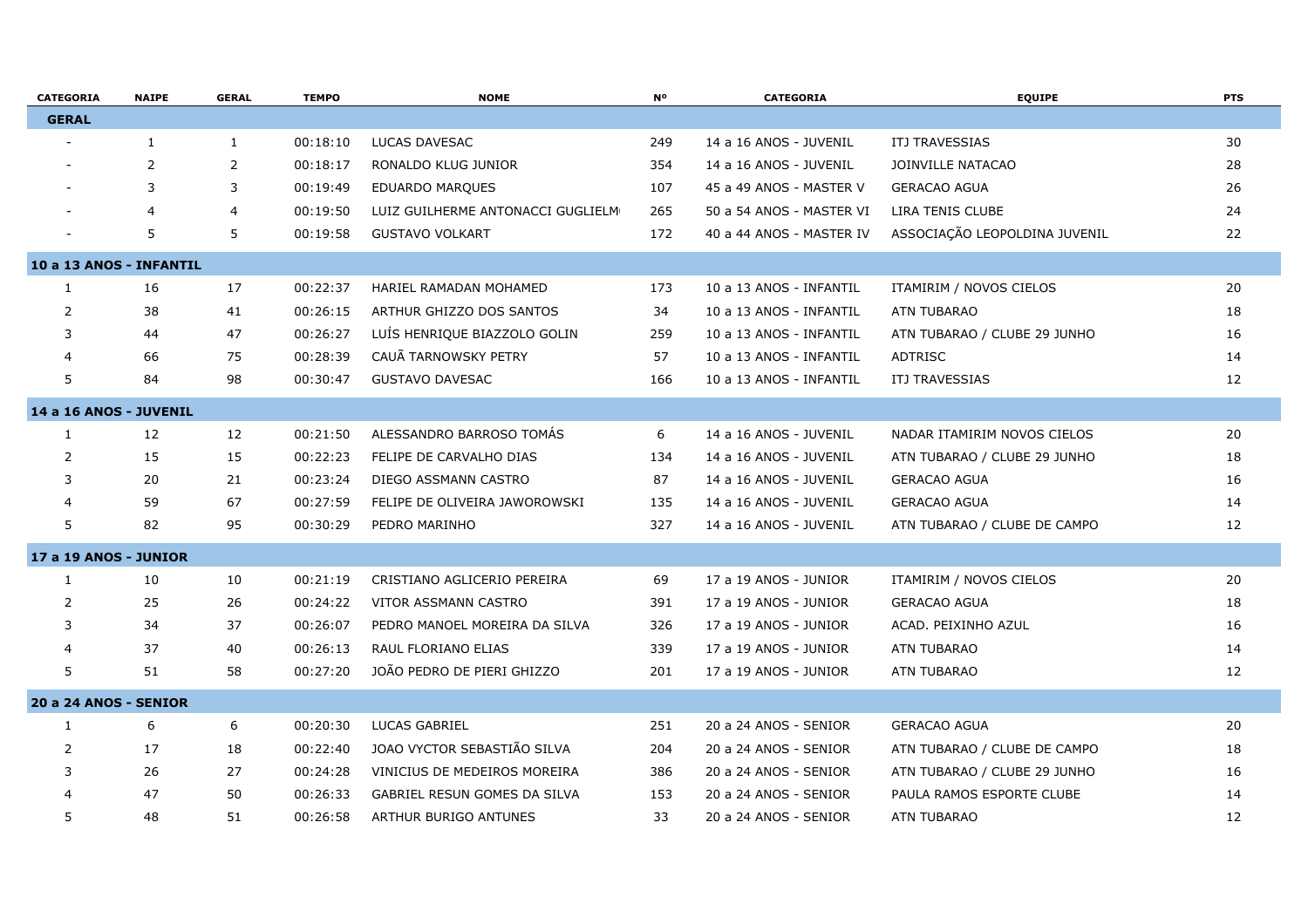| <b>CATEGORIA</b>             | <b>NAIPE</b> | <b>GERAL</b>   | <b>TEMPO</b> | <b>NOME</b>                       | <b>N°</b> | <b>CATEGORIA</b>         | <b>EQUIPE</b>                 | <b>PTS</b> |
|------------------------------|--------------|----------------|--------------|-----------------------------------|-----------|--------------------------|-------------------------------|------------|
| <b>GERAL</b>                 |              |                |              |                                   |           |                          |                               |            |
|                              | 1            | 1              | 00:18:10     | LUCAS DAVESAC                     | 249       | 14 a 16 ANOS - JUVENIL   | ITJ TRAVESSIAS                | 30         |
|                              | 2            | $\overline{2}$ | 00:18:17     | RONALDO KLUG JUNIOR               | 354       | 14 a 16 ANOS - JUVENIL   | JOINVILLE NATACAO             | 28         |
|                              | 3            | 3              | 00:19:49     | <b>EDUARDO MARQUES</b>            | 107       | 45 a 49 ANOS - MASTER V  | <b>GERACAO AGUA</b>           | 26         |
|                              | 4            | $\overline{4}$ | 00:19:50     | LUIZ GUILHERME ANTONACCI GUGLIELM | 265       | 50 a 54 ANOS - MASTER VI | LIRA TENIS CLUBE              | 24         |
|                              | 5            | 5              | 00:19:58     | <b>GUSTAVO VOLKART</b>            | 172       | 40 a 44 ANOS - MASTER IV | ASSOCIAÇÃO LEOPOLDINA JUVENIL | 22         |
| 10 a 13 ANOS - INFANTIL      |              |                |              |                                   |           |                          |                               |            |
| $\mathbf{1}$                 | 16           | 17             | 00:22:37     | HARIEL RAMADAN MOHAMED            | 173       | 10 a 13 ANOS - INFANTIL  | ITAMIRIM / NOVOS CIELOS       | 20         |
| 2                            | 38           | 41             | 00:26:15     | ARTHUR GHIZZO DOS SANTOS          | 34        | 10 a 13 ANOS - INFANTIL  | <b>ATN TUBARAO</b>            | 18         |
| 3                            | 44           | 47             | 00:26:27     | LUÍS HENRIQUE BIAZZOLO GOLIN      | 259       | 10 a 13 ANOS - INFANTIL  | ATN TUBARAO / CLUBE 29 JUNHO  | 16         |
| 4                            | 66           | 75             | 00:28:39     | CAUÃ TARNOWSKY PETRY              | 57        | 10 a 13 ANOS - INFANTIL  | <b>ADTRISC</b>                | 14         |
| 5                            | 84           | 98             | 00:30:47     | <b>GUSTAVO DAVESAC</b>            | 166       | 10 a 13 ANOS - INFANTIL  | ITJ TRAVESSIAS                | 12         |
| 14 a 16 ANOS - JUVENIL       |              |                |              |                                   |           |                          |                               |            |
| $\mathbf{1}$                 | 12           | 12             | 00:21:50     | ALESSANDRO BARROSO TOMÁS          | 6         | 14 a 16 ANOS - JUVENIL   | NADAR ITAMIRIM NOVOS CIELOS   | 20         |
| 2                            | 15           | 15             | 00:22:23     | FELIPE DE CARVALHO DIAS           | 134       | 14 a 16 ANOS - JUVENIL   | ATN TUBARAO / CLUBE 29 JUNHO  | 18         |
| 3                            | 20           | 21             | 00:23:24     | DIEGO ASSMANN CASTRO              | 87        | 14 a 16 ANOS - JUVENIL   | <b>GERACAO AGUA</b>           | 16         |
| 4                            | 59           | 67             | 00:27:59     | FELIPE DE OLIVEIRA JAWOROWSKI     | 135       | 14 a 16 ANOS - JUVENIL   | <b>GERACAO AGUA</b>           | 14         |
| 5                            | 82           | 95             | 00:30:29     | PEDRO MARINHO                     | 327       | 14 a 16 ANOS - JUVENIL   | ATN TUBARAO / CLUBE DE CAMPO  | 12         |
| <b>17 a 19 ANOS - JUNIOR</b> |              |                |              |                                   |           |                          |                               |            |
| $\mathbf{1}$                 | 10           | 10             | 00:21:19     | CRISTIANO AGLICERIO PEREIRA       | 69        | 17 a 19 ANOS - JUNIOR    | ITAMIRIM / NOVOS CIELOS       | 20         |
| 2                            | 25           | 26             | 00:24:22     | VITOR ASSMANN CASTRO              | 391       | 17 a 19 ANOS - JUNIOR    | <b>GERACAO AGUA</b>           | 18         |
| 3                            | 34           | 37             | 00:26:07     | PEDRO MANOEL MOREIRA DA SILVA     | 326       | 17 a 19 ANOS - JUNIOR    | ACAD. PEIXINHO AZUL           | 16         |
| 4                            | 37           | 40             | 00:26:13     | RAUL FLORIANO ELIAS               | 339       | 17 a 19 ANOS - JUNIOR    | <b>ATN TUBARAO</b>            | 14         |
| 5                            | 51           | 58             | 00:27:20     | JOÃO PEDRO DE PIERI GHIZZO        | 201       | 17 a 19 ANOS - JUNIOR    | ATN TUBARAO                   | 12         |
| <b>20 a 24 ANOS - SENIOR</b> |              |                |              |                                   |           |                          |                               |            |
| $\mathbf{1}$                 | 6            | 6              | 00:20:30     | LUCAS GABRIEL                     | 251       | 20 a 24 ANOS - SENIOR    | <b>GERACAO AGUA</b>           | 20         |
| 2                            | 17           | 18             | 00:22:40     | JOAO VYCTOR SEBASTIÃO SILVA       | 204       | 20 a 24 ANOS - SENIOR    | ATN TUBARAO / CLUBE DE CAMPO  | 18         |
| 3                            | 26           | 27             | 00:24:28     | VINICIUS DE MEDEIROS MOREIRA      | 386       | 20 a 24 ANOS - SENIOR    | ATN TUBARAO / CLUBE 29 JUNHO  | 16         |
|                              | 47           | 50             | 00:26:33     | GABRIEL RESUN GOMES DA SILVA      | 153       | 20 a 24 ANOS - SENIOR    | PAULA RAMOS ESPORTE CLUBE     | 14         |
| 5                            | 48           | 51             | 00:26:58     | ARTHUR BURIGO ANTUNES             | 33        | 20 a 24 ANOS - SENIOR    | <b>ATN TUBARAO</b>            | 12         |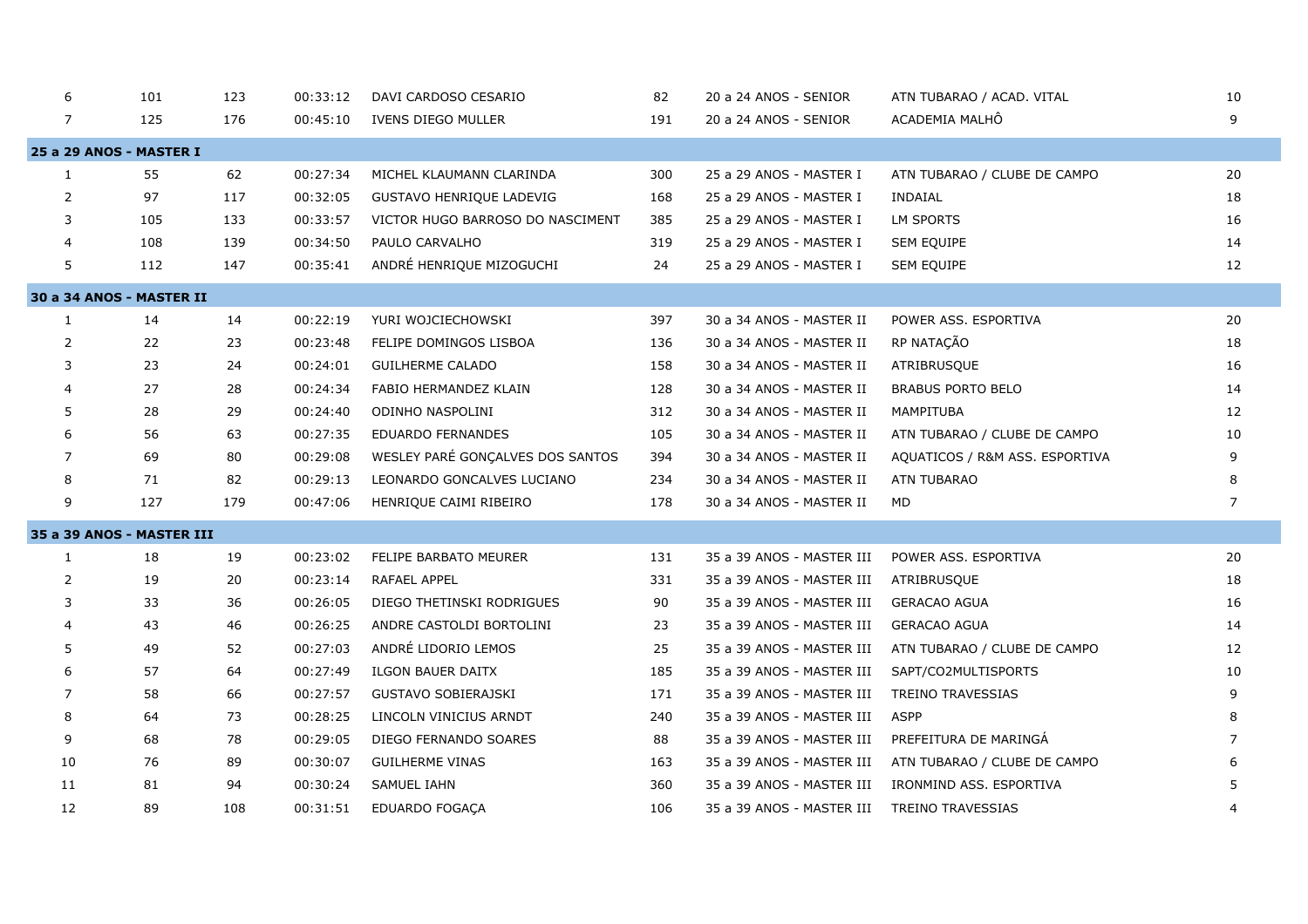| 6            | 101                       | 123 | 00:33:12 | DAVI CARDOSO CESARIO             | 82  | 20 a 24 ANOS - SENIOR     | ATN TUBARAO / ACAD. VITAL      | 10 |
|--------------|---------------------------|-----|----------|----------------------------------|-----|---------------------------|--------------------------------|----|
| 7            | 125                       | 176 | 00:45:10 | IVENS DIEGO MULLER               | 191 | 20 a 24 ANOS - SENIOR     | ACADEMIA MALHO                 | 9  |
|              | 25 a 29 ANOS - MASTER I   |     |          |                                  |     |                           |                                |    |
| $\mathbf{1}$ | 55                        | 62  | 00:27:34 | MICHEL KLAUMANN CLARINDA         | 300 | 25 a 29 ANOS - MASTER I   | ATN TUBARAO / CLUBE DE CAMPO   | 20 |
| 2            | 97                        | 117 | 00:32:05 | <b>GUSTAVO HENRIQUE LADEVIG</b>  | 168 | 25 a 29 ANOS - MASTER I   | <b>INDAIAL</b>                 | 18 |
| 3            | 105                       | 133 | 00:33:57 | VICTOR HUGO BARROSO DO NASCIMENT | 385 | 25 a 29 ANOS - MASTER I   | <b>LM SPORTS</b>               | 16 |
| 4            | 108                       | 139 | 00:34:50 | PAULO CARVALHO                   | 319 | 25 a 29 ANOS - MASTER I   | <b>SEM EQUIPE</b>              | 14 |
| 5            | 112                       | 147 | 00:35:41 | ANDRÉ HENRIQUE MIZOGUCHI         | 24  | 25 a 29 ANOS - MASTER I   | <b>SEM EQUIPE</b>              | 12 |
|              | 30 a 34 ANOS - MASTER II  |     |          |                                  |     |                           |                                |    |
| $\mathbf{1}$ | 14                        | 14  | 00:22:19 | YURI WOJCIECHOWSKI               | 397 | 30 a 34 ANOS - MASTER II  | POWER ASS. ESPORTIVA           | 20 |
| 2            | 22                        | 23  | 00:23:48 | FELIPE DOMINGOS LISBOA           | 136 | 30 a 34 ANOS - MASTER II  | RP NATAÇÃO                     | 18 |
| 3            | 23                        | 24  | 00:24:01 | <b>GUILHERME CALADO</b>          | 158 | 30 a 34 ANOS - MASTER II  | ATRIBRUSQUE                    | 16 |
|              | 27                        | 28  | 00:24:34 | FABIO HERMANDEZ KLAIN            | 128 | 30 a 34 ANOS - MASTER II  | <b>BRABUS PORTO BELO</b>       | 14 |
| 5            | 28                        | 29  | 00:24:40 | ODINHO NASPOLINI                 | 312 | 30 a 34 ANOS - MASTER II  | <b>MAMPITUBA</b>               | 12 |
| 6            | 56                        | 63  | 00:27:35 | <b>EDUARDO FERNANDES</b>         | 105 | 30 a 34 ANOS - MASTER II  | ATN TUBARAO / CLUBE DE CAMPO   | 10 |
| 7            | 69                        | 80  | 00:29:08 | WESLEY PARÉ GONÇALVES DOS SANTOS | 394 | 30 a 34 ANOS - MASTER II  | AQUATICOS / R&M ASS. ESPORTIVA | 9  |
| 8            | 71                        | 82  | 00:29:13 | LEONARDO GONCALVES LUCIANO       | 234 | 30 a 34 ANOS - MASTER II  | ATN TUBARAO                    | 8  |
| 9            | 127                       | 179 | 00:47:06 | HENRIQUE CAIMI RIBEIRO           | 178 | 30 a 34 ANOS - MASTER II  | MD                             | 7  |
|              | 35 a 39 ANOS - MASTER III |     |          |                                  |     |                           |                                |    |
| 1            | 18                        | 19  | 00:23:02 | FELIPE BARBATO MEURER            | 131 | 35 a 39 ANOS - MASTER III | POWER ASS. ESPORTIVA           | 20 |
| 2            | 19                        | 20  | 00:23:14 | <b>RAFAEL APPEL</b>              | 331 | 35 a 39 ANOS - MASTER III | ATRIBRUSQUE                    | 18 |
| 3            | 33                        | 36  | 00:26:05 | DIEGO THETINSKI RODRIGUES        | 90  | 35 a 39 ANOS - MASTER III | <b>GERACAO AGUA</b>            | 16 |
| 4            | 43                        | 46  | 00:26:25 | ANDRE CASTOLDI BORTOLINI         | 23  | 35 a 39 ANOS - MASTER III | <b>GERACAO AGUA</b>            | 14 |
| 5            | 49                        | 52  | 00:27:03 | ANDRÉ LIDORIO LEMOS              | 25  | 35 a 39 ANOS - MASTER III | ATN TUBARAO / CLUBE DE CAMPO   | 12 |
| 6            | 57                        | 64  | 00:27:49 | ILGON BAUER DAITX                | 185 | 35 a 39 ANOS - MASTER III | SAPT/CO2MULTISPORTS            | 10 |
| 7            | 58                        | 66  | 00:27:57 | <b>GUSTAVO SOBIERAJSKI</b>       | 171 | 35 a 39 ANOS - MASTER III | TREINO TRAVESSIAS              | 9  |
| 8            | 64                        | 73  | 00:28:25 | LINCOLN VINICIUS ARNDT           | 240 | 35 a 39 ANOS - MASTER III | <b>ASPP</b>                    | 8  |
| 9            | 68                        | 78  | 00:29:05 | DIEGO FERNANDO SOARES            | 88  | 35 a 39 ANOS - MASTER III | PREFEITURA DE MARINGÁ          | 7  |
| 10           | 76                        | 89  | 00:30:07 | <b>GUILHERME VINAS</b>           | 163 | 35 a 39 ANOS - MASTER III | ATN TUBARAO / CLUBE DE CAMPO   | 6  |
| 11           | 81                        | 94  | 00:30:24 | <b>SAMUEL IAHN</b>               | 360 | 35 a 39 ANOS - MASTER III | IRONMIND ASS. ESPORTIVA        |    |
| 12           | 89                        | 108 | 00:31:51 | EDUARDO FOGACA                   | 106 | 35 a 39 ANOS - MASTER III | <b>TREINO TRAVESSIAS</b>       | 4  |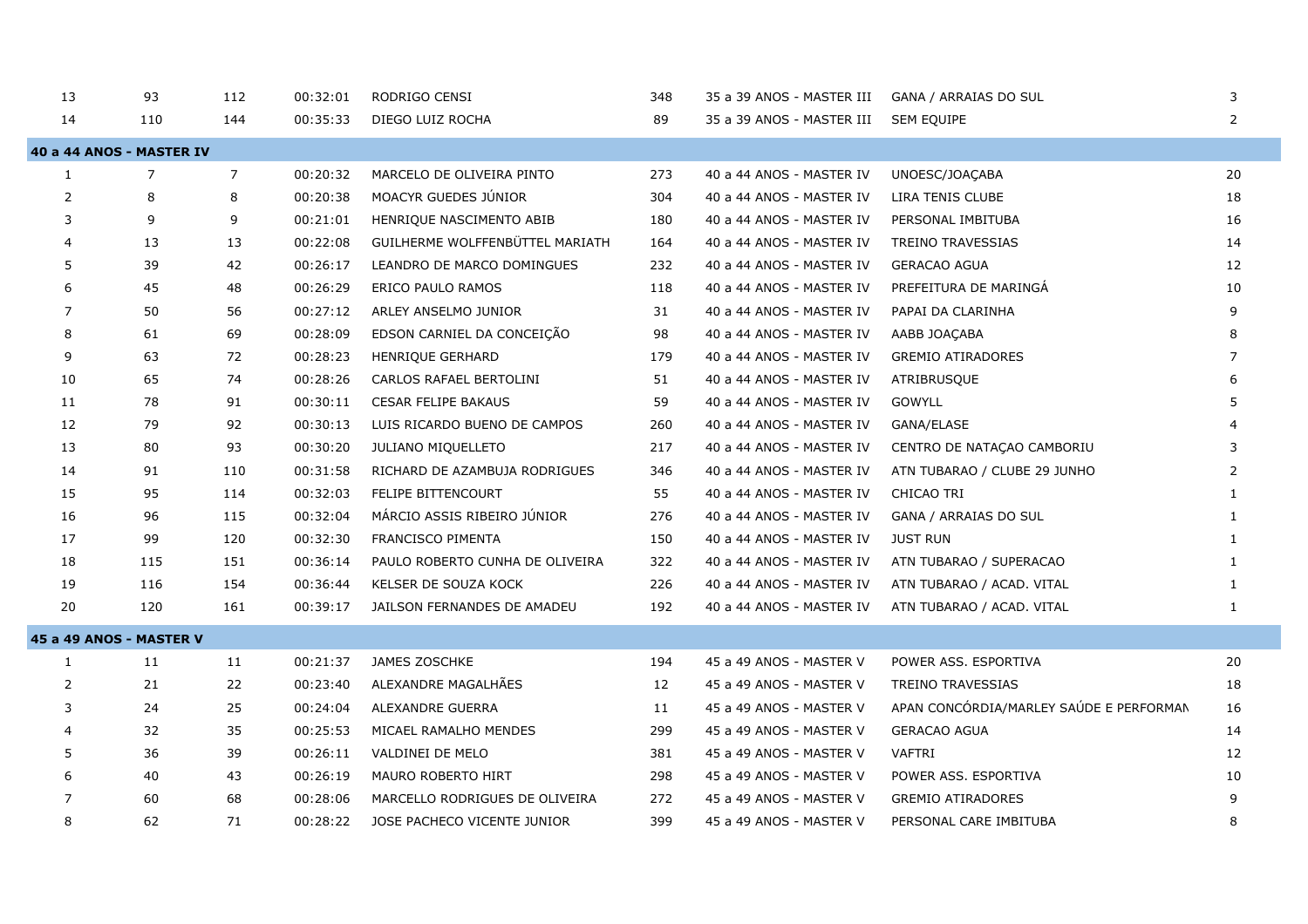| 13             | 93                       | 112            | 00:32:01 | RODRIGO CENSI                   | 348 | 35 a 39 ANOS - MASTER III GANA / ARRAIAS DO SUL |                                         | 3              |
|----------------|--------------------------|----------------|----------|---------------------------------|-----|-------------------------------------------------|-----------------------------------------|----------------|
| 14             | 110                      | 144            | 00:35:33 | DIEGO LUIZ ROCHA                | 89  | 35 a 39 ANOS - MASTER III SEM EQUIPE            |                                         | $\overline{2}$ |
|                | 40 a 44 ANOS - MASTER IV |                |          |                                 |     |                                                 |                                         |                |
| $\mathbf{1}$   | 7                        | $\overline{7}$ | 00:20:32 | MARCELO DE OLIVEIRA PINTO       | 273 | 40 a 44 ANOS - MASTER IV                        | UNOESC/JOAÇABA                          | 20             |
| 2              | 8                        | 8              | 00:20:38 | MOACYR GUEDES JUNIOR            | 304 | 40 a 44 ANOS - MASTER IV                        | LIRA TENIS CLUBE                        | 18             |
| 3              | 9                        | 9              | 00:21:01 | HENRIQUE NASCIMENTO ABIB        | 180 | 40 a 44 ANOS - MASTER IV                        | PERSONAL IMBITUBA                       | 16             |
| 4              | 13                       | 13             | 00:22:08 | GUILHERME WOLFFENBÜTTEL MARIATH | 164 | 40 a 44 ANOS - MASTER IV                        | <b>TREINO TRAVESSIAS</b>                | 14             |
| 5              | 39                       | 42             | 00:26:17 | LEANDRO DE MARCO DOMINGUES      | 232 | 40 a 44 ANOS - MASTER IV                        | <b>GERACAO AGUA</b>                     | 12             |
| 6              | 45                       | 48             | 00:26:29 | ERICO PAULO RAMOS               | 118 | 40 a 44 ANOS - MASTER IV                        | PREFEITURA DE MARINGA                   | 10             |
| 7              | 50                       | 56             | 00:27:12 | ARLEY ANSELMO JUNIOR            | 31  | 40 a 44 ANOS - MASTER IV                        | PAPAI DA CLARINHA                       | 9              |
| 8              | 61                       | 69             | 00:28:09 | EDSON CARNIEL DA CONCEIÇÃO      | 98  | 40 a 44 ANOS - MASTER IV                        | AABB JOAÇABA                            |                |
| 9              | 63                       | 72             | 00:28:23 | HENRIQUE GERHARD                | 179 | 40 a 44 ANOS - MASTER IV                        | <b>GREMIO ATIRADORES</b>                | $\overline{7}$ |
| 10             | 65                       | 74             | 00:28:26 | CARLOS RAFAEL BERTOLINI         | 51  | 40 a 44 ANOS - MASTER IV                        | ATRIBRUSQUE                             |                |
| 11             | 78                       | 91             | 00:30:11 | <b>CESAR FELIPE BAKAUS</b>      | 59  | 40 a 44 ANOS - MASTER IV                        | <b>GOWYLL</b>                           |                |
| 12             | 79                       | 92             | 00:30:13 | LUIS RICARDO BUENO DE CAMPOS    | 260 | 40 a 44 ANOS - MASTER IV                        | GANA/ELASE                              |                |
| 13             | 80                       | 93             | 00:30:20 | <b>JULIANO MIQUELLETO</b>       | 217 | 40 a 44 ANOS - MASTER IV                        | CENTRO DE NATAÇÃO CAMBORIU              | 3              |
| 14             | 91                       | 110            | 00:31:58 | RICHARD DE AZAMBUJA RODRIGUES   | 346 | 40 a 44 ANOS - MASTER IV                        | ATN TUBARAO / CLUBE 29 JUNHO            | 2              |
| 15             | 95                       | 114            | 00:32:03 | FELIPE BITTENCOURT              | 55  | 40 a 44 ANOS - MASTER IV                        | CHICAO TRI                              |                |
| 16             | 96                       | 115            | 00:32:04 | MÁRCIO ASSIS RIBEIRO JÚNIOR     | 276 | 40 a 44 ANOS - MASTER IV                        | GANA / ARRAIAS DO SUL                   |                |
| 17             | 99                       | 120            | 00:32:30 | FRANCISCO PIMENTA               | 150 | 40 a 44 ANOS - MASTER IV                        | <b>JUST RUN</b>                         |                |
| 18             | 115                      | 151            | 00:36:14 | PAULO ROBERTO CUNHA DE OLIVEIRA | 322 | 40 a 44 ANOS - MASTER IV                        | ATN TUBARAO / SUPERACAO                 |                |
| 19             | 116                      | 154            | 00:36:44 | KELSER DE SOUZA KOCK            | 226 | 40 a 44 ANOS - MASTER IV                        | ATN TUBARAO / ACAD. VITAL               | 1              |
| 20             | 120                      | 161            | 00:39:17 | JAILSON FERNANDES DE AMADEU     | 192 | 40 a 44 ANOS - MASTER IV                        | ATN TUBARAO / ACAD. VITAL               | 1              |
|                | 45 a 49 ANOS - MASTER V  |                |          |                                 |     |                                                 |                                         |                |
| $\mathbf{1}$   | 11                       | 11             | 00:21:37 | JAMES ZOSCHKE                   | 194 | 45 a 49 ANOS - MASTER V                         | POWER ASS. ESPORTIVA                    | 20             |
| 2              | 21                       | 22             | 00:23:40 | ALEXANDRE MAGALHÄES             | 12  | 45 a 49 ANOS - MASTER V                         | <b>TREINO TRAVESSIAS</b>                | 18             |
| 3              | 24                       | 25             | 00:24:04 | <b>ALEXANDRE GUERRA</b>         | 11  | 45 a 49 ANOS - MASTER V                         | APAN CONCÓRDIA/MARLEY SAÚDE E PERFORMAN | 16             |
|                | 32                       | 35             | 00:25:53 | MICAEL RAMALHO MENDES           | 299 | 45 a 49 ANOS - MASTER V                         | <b>GERACAO AGUA</b>                     | 14             |
| 5              | 36                       | 39             | 00:26:11 | VALDINEI DE MELO                | 381 | 45 a 49 ANOS - MASTER V                         | VAFTRI                                  | 12             |
| 6              | 40                       | 43             | 00:26:19 | MAURO ROBERTO HIRT              | 298 | 45 a 49 ANOS - MASTER V                         | POWER ASS. ESPORTIVA                    | 10             |
| $\overline{7}$ | 60                       | 68             | 00:28:06 | MARCELLO RODRIGUES DE OLIVEIRA  | 272 | 45 a 49 ANOS - MASTER V                         | <b>GREMIO ATIRADORES</b>                | 9              |
| 8              | 62                       | 71             | 00:28:22 | JOSE PACHECO VICENTE JUNIOR     | 399 | 45 a 49 ANOS - MASTER V                         | PERSONAL CARE IMBITUBA                  | 8              |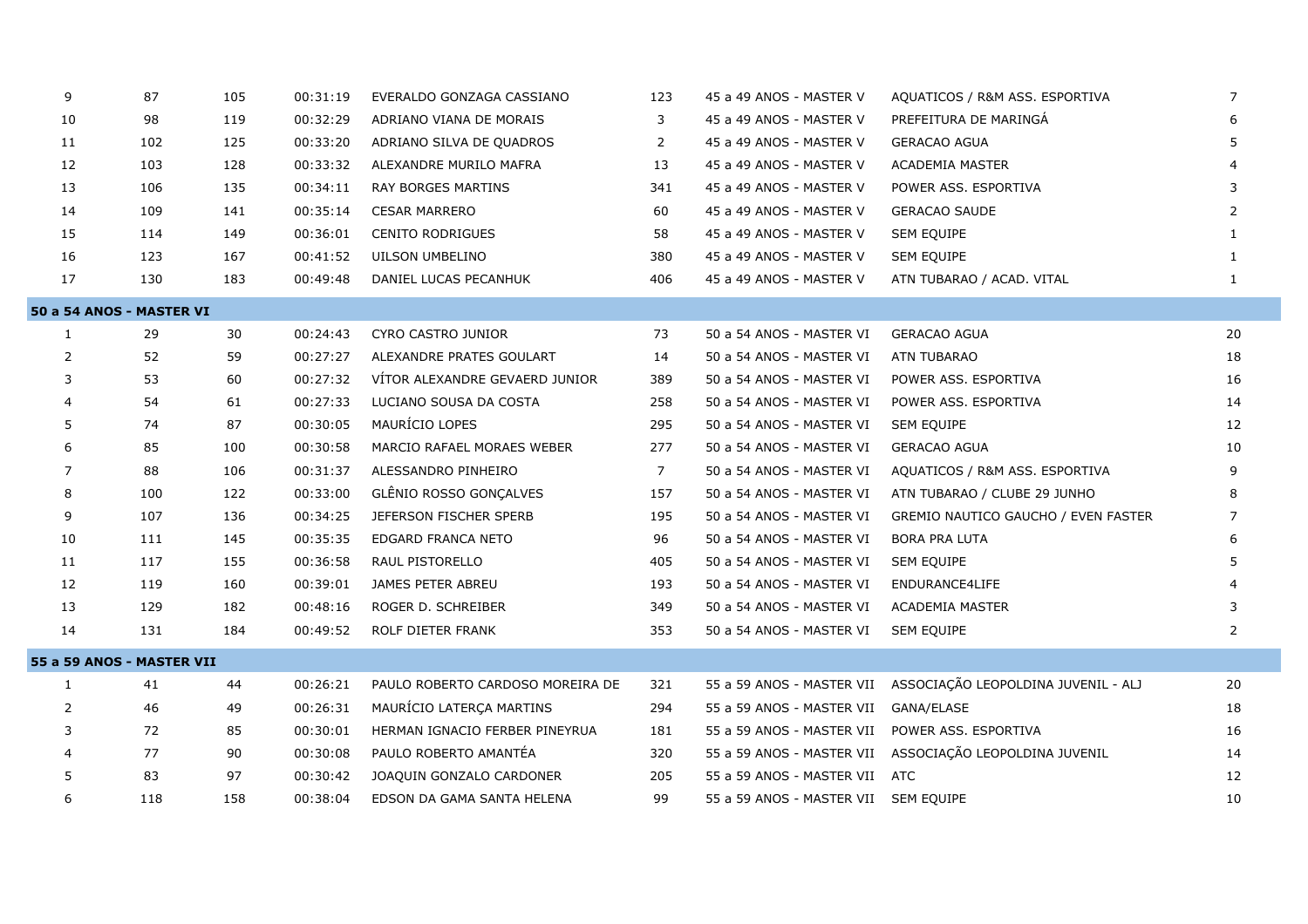| 9            | 87                        | 105 | 00:31:19 | EVERALDO GONZAGA CASSIANO        | 123            | 45 a 49 ANOS - MASTER V              | AQUATICOS / R&M ASS. ESPORTIVA             | $\overline{7}$ |
|--------------|---------------------------|-----|----------|----------------------------------|----------------|--------------------------------------|--------------------------------------------|----------------|
| 10           | 98                        | 119 | 00:32:29 | ADRIANO VIANA DE MORAIS          | 3              | 45 a 49 ANOS - MASTER V              | PREFEITURA DE MARINGA                      | 6              |
| 11           | 102                       | 125 | 00:33:20 | ADRIANO SILVA DE QUADROS         | 2              | 45 a 49 ANOS - MASTER V              | <b>GERACAO AGUA</b>                        | 5              |
| 12           | 103                       | 128 | 00:33:32 | ALEXANDRE MURILO MAFRA           | 13             | 45 a 49 ANOS - MASTER V              | <b>ACADEMIA MASTER</b>                     |                |
| 13           | 106                       | 135 | 00:34:11 | RAY BORGES MARTINS               | 341            | 45 a 49 ANOS - MASTER V              | POWER ASS. ESPORTIVA                       | 3              |
| 14           | 109                       | 141 | 00:35:14 | <b>CESAR MARRERO</b>             | 60             | 45 a 49 ANOS - MASTER V              | <b>GERACAO SAUDE</b>                       | 2              |
| 15           | 114                       | 149 | 00:36:01 | <b>CENITO RODRIGUES</b>          | 58             | 45 a 49 ANOS - MASTER V              | SEM EQUIPE                                 | 1              |
| 16           | 123                       | 167 | 00:41:52 | UILSON UMBELINO                  | 380            | 45 a 49 ANOS - MASTER V              | <b>SEM EQUIPE</b>                          | $\mathbf{1}$   |
| 17           | 130                       | 183 | 00:49:48 | DANIEL LUCAS PECANHUK            | 406            | 45 a 49 ANOS - MASTER V              | ATN TUBARAO / ACAD. VITAL                  | 1              |
|              | 50 a 54 ANOS - MASTER VI  |     |          |                                  |                |                                      |                                            |                |
| $\mathbf{1}$ | 29                        | 30  | 00:24:43 | CYRO CASTRO JUNIOR               | 73             | 50 a 54 ANOS - MASTER VI             | <b>GERACAO AGUA</b>                        | 20             |
| 2            | 52                        | 59  | 00:27:27 | ALEXANDRE PRATES GOULART         | 14             | 50 a 54 ANOS - MASTER VI             | ATN TUBARAO                                | 18             |
| 3            | 53                        | 60  | 00:27:32 | VITOR ALEXANDRE GEVAERD JUNIOR   | 389            | 50 a 54 ANOS - MASTER VI             | POWER ASS. ESPORTIVA                       | 16             |
| 4            | 54                        | 61  | 00:27:33 | LUCIANO SOUSA DA COSTA           | 258            | 50 a 54 ANOS - MASTER VI             | POWER ASS. ESPORTIVA                       | 14             |
| 5            | 74                        | 87  | 00:30:05 | MAURÍCIO LOPES                   | 295            | 50 a 54 ANOS - MASTER VI             | <b>SEM EQUIPE</b>                          | 12             |
| 6            | 85                        | 100 | 00:30:58 | MARCIO RAFAEL MORAES WEBER       | 277            | 50 a 54 ANOS - MASTER VI             | <b>GERACAO AGUA</b>                        | 10             |
| 7            | 88                        | 106 | 00:31:37 | ALESSANDRO PINHEIRO              | $\overline{7}$ | 50 a 54 ANOS - MASTER VI             | AQUATICOS / R&M ASS. ESPORTIVA             | 9              |
| 8            | 100                       | 122 | 00:33:00 | GLÊNIO ROSSO GONÇALVES           | 157            | 50 a 54 ANOS - MASTER VI             | ATN TUBARAO / CLUBE 29 JUNHO               | 8              |
| 9            | 107                       | 136 | 00:34:25 | JEFERSON FISCHER SPERB           | 195            | 50 a 54 ANOS - MASTER VI             | <b>GREMIO NAUTICO GAUCHO / EVEN FASTER</b> | $\overline{7}$ |
| 10           | 111                       | 145 | 00:35:35 | EDGARD FRANCA NETO               | 96             | 50 a 54 ANOS - MASTER VI             | <b>BORA PRA LUTA</b>                       | 6              |
| 11           | 117                       | 155 | 00:36:58 | RAUL PISTORELLO                  | 405            | 50 a 54 ANOS - MASTER VI             | SEM EQUIPE                                 | 5              |
| 12           | 119                       | 160 | 00:39:01 | JAMES PETER ABREU                | 193            | 50 a 54 ANOS - MASTER VI             | ENDURANCE4LIFE                             |                |
| 13           | 129                       | 182 | 00:48:16 | ROGER D. SCHREIBER               | 349            | 50 a 54 ANOS - MASTER VI             | <b>ACADEMIA MASTER</b>                     | 3              |
| 14           | 131                       | 184 | 00:49:52 | ROLF DIETER FRANK                | 353            | 50 a 54 ANOS - MASTER VI             | <b>SEM EQUIPE</b>                          | $\overline{2}$ |
|              | 55 a 59 ANOS - MASTER VII |     |          |                                  |                |                                      |                                            |                |
| $\mathbf{1}$ | 41                        | 44  | 00:26:21 | PAULO ROBERTO CARDOSO MOREIRA DE | 321            | 55 a 59 ANOS - MASTER VII            | ASSOCIAÇÃO LEOPOLDINA JUVENIL - ALJ        | 20             |
| 2            | 46                        | 49  | 00:26:31 | MAURÍCIO LATERÇA MARTINS         | 294            | 55 a 59 ANOS - MASTER VII            | GANA/ELASE                                 | 18             |
| 3            | 72                        | 85  | 00:30:01 | HERMAN IGNACIO FERBER PINEYRUA   | 181            | 55 a 59 ANOS - MASTER VII            | POWER ASS. ESPORTIVA                       | 16             |
| 4            | 77                        | 90  | 00:30:08 | PAULO ROBERTO AMANTÉA            | 320            | 55 a 59 ANOS - MASTER VII            | ASSOCIAÇÃO LEOPOLDINA JUVENIL              | 14             |
| 5            | 83                        | 97  | 00:30:42 | JOAQUIN GONZALO CARDONER         | 205            | 55 a 59 ANOS - MASTER VII            | ATC                                        | 12             |
| 6            | 118                       | 158 | 00:38:04 | EDSON DA GAMA SANTA HELENA       | 99             | 55 a 59 ANOS - MASTER VII SEM EQUIPE |                                            | 10             |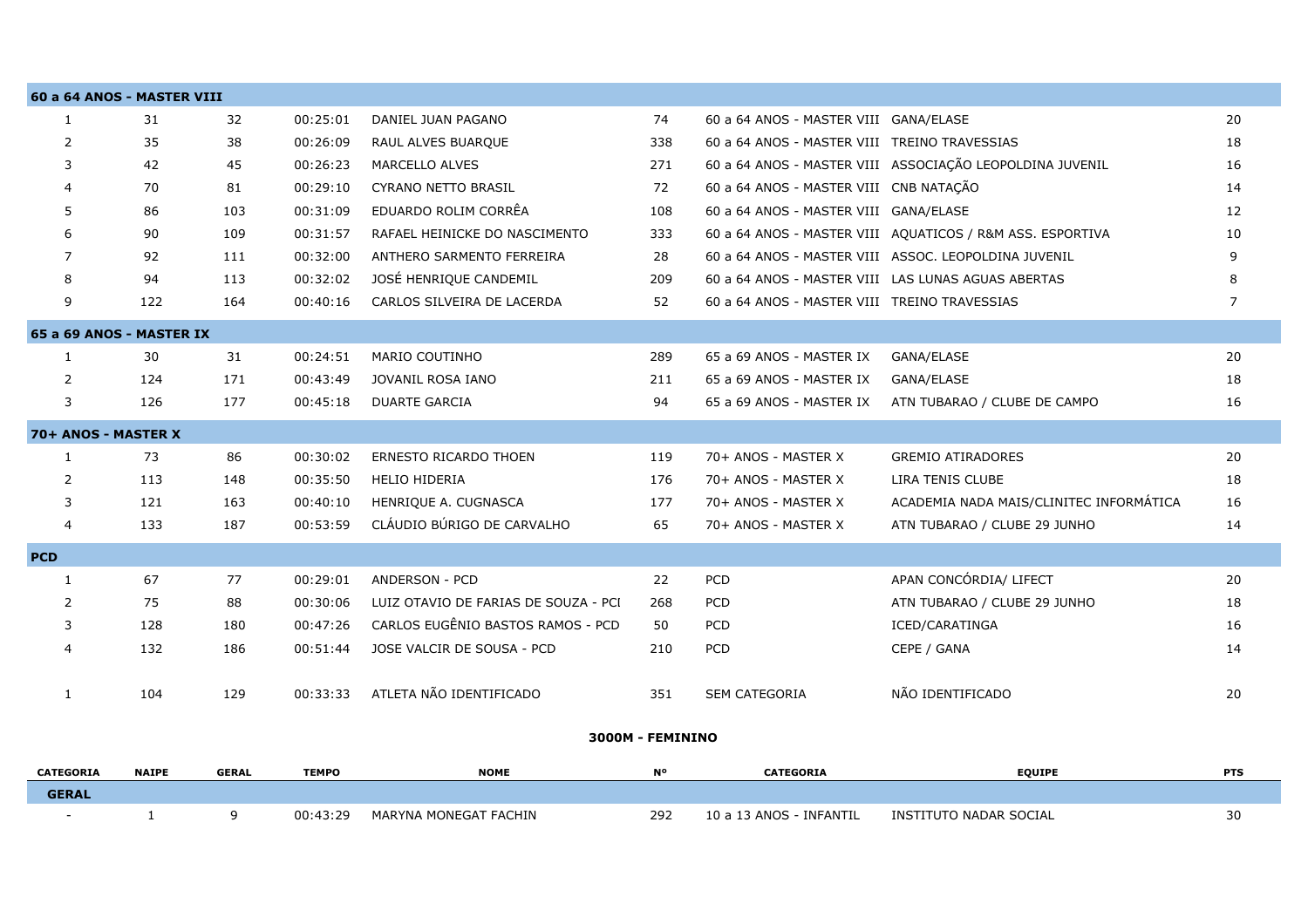| 60 a 64 ANOS - MASTER VIII |              |              |              |                                      |                  |                                              |                                                           |                |
|----------------------------|--------------|--------------|--------------|--------------------------------------|------------------|----------------------------------------------|-----------------------------------------------------------|----------------|
| $\mathbf{1}$               | 31           | 32           | 00:25:01     | DANIEL JUAN PAGANO                   | 74               | 60 a 64 ANOS - MASTER VIII GANA/ELASE        |                                                           | 20             |
| 2                          | 35           | 38           | 00:26:09     | RAUL ALVES BUARQUE                   | 338              | 60 a 64 ANOS - MASTER VIII TREINO TRAVESSIAS |                                                           | 18             |
| 3                          | 42           | 45           | 00:26:23     | MARCELLO ALVES                       | 271              |                                              | 60 a 64 ANOS - MASTER VIII ASSOCIAÇÃO LEOPOLDINA JUVENIL  | 16             |
|                            | 70           | 81           | 00:29:10     | <b>CYRANO NETTO BRASIL</b>           | 72               | 60 a 64 ANOS - MASTER VIII CNB NATAÇÃO       |                                                           | 14             |
| 5                          | 86           | 103          | 00:31:09     | EDUARDO ROLIM CORRÊA                 | 108              | 60 a 64 ANOS - MASTER VIII GANA/ELASE        |                                                           | 12             |
| 6                          | 90           | 109          | 00:31:57     | RAFAEL HEINICKE DO NASCIMENTO        | 333              |                                              | 60 a 64 ANOS - MASTER VIII AQUATICOS / R&M ASS. ESPORTIVA | 10             |
| $\overline{7}$             | 92           | 111          | 00:32:00     | ANTHERO SARMENTO FERREIRA            | 28               |                                              | 60 a 64 ANOS - MASTER VIII ASSOC, LEOPOLDINA JUVENIL      | 9              |
| 8                          | 94           | 113          | 00:32:02     | JOSÉ HENRIQUE CANDEMIL               | 209              |                                              | 60 a 64 ANOS - MASTER VIII LAS LUNAS AGUAS ABERTAS        | 8              |
| 9                          | 122          | 164          | 00:40:16     | CARLOS SILVEIRA DE LACERDA           | 52               | 60 a 64 ANOS - MASTER VIII TREINO TRAVESSIAS |                                                           | $\overline{7}$ |
| 65 a 69 ANOS - MASTER IX   |              |              |              |                                      |                  |                                              |                                                           |                |
| $\mathbf{1}$               | 30           | 31           | 00:24:51     | MARIO COUTINHO                       | 289              | 65 a 69 ANOS - MASTER IX                     | GANA/ELASE                                                | 20             |
| 2                          | 124          | 171          | 00:43:49     | JOVANIL ROSA IANO                    | 211              | 65 a 69 ANOS - MASTER IX                     | GANA/ELASE                                                | 18             |
| 3                          | 126          | 177          | 00:45:18     | <b>DUARTE GARCIA</b>                 | 94               | 65 a 69 ANOS - MASTER IX                     | ATN TUBARAO / CLUBE DE CAMPO                              | 16             |
| 70+ ANOS - MASTER X        |              |              |              |                                      |                  |                                              |                                                           |                |
| $\mathbf{1}$               | 73           | 86           | 00:30:02     | ERNESTO RICARDO THOEN                | 119              | 70+ ANOS - MASTER X                          | <b>GREMIO ATIRADORES</b>                                  | 20             |
| 2                          | 113          | 148          | 00:35:50     | <b>HELIO HIDERIA</b>                 | 176              | 70+ ANOS - MASTER X                          | LIRA TENIS CLUBE                                          | 18             |
| 3                          | 121          | 163          | 00:40:10     | HENRIQUE A. CUGNASCA                 | 177              | 70+ ANOS - MASTER X                          | ACADEMIA NADA MAIS/CLINITEC INFORMATICA                   | 16             |
| 4                          | 133          | 187          | 00:53:59     | CLÁUDIO BÚRIGO DE CARVALHO           | 65               | 70+ ANOS - MASTER X                          | ATN TUBARAO / CLUBE 29 JUNHO                              | 14             |
| <b>PCD</b>                 |              |              |              |                                      |                  |                                              |                                                           |                |
| $\mathbf{1}$               | 67           | 77           | 00:29:01     | <b>ANDERSON - PCD</b>                | 22               | PCD                                          | APAN CONCÓRDIA/ LIFECT                                    | 20             |
| 2                          | 75           | 88           | 00:30:06     | LUIZ OTAVIO DE FARIAS DE SOUZA - PCI | 268              | <b>PCD</b>                                   | ATN TUBARAO / CLUBE 29 JUNHO                              | 18             |
| 3                          | 128          | 180          | 00:47:26     | CARLOS EUGÊNIO BASTOS RAMOS - PCD    | 50               | <b>PCD</b>                                   | ICED/CARATINGA                                            | 16             |
| 4                          | 132          | 186          | 00:51:44     | JOSE VALCIR DE SOUSA - PCD           | 210              | <b>PCD</b>                                   | CEPE / GANA                                               | 14             |
| $\mathbf{1}$               | 104          | 129          | 00:33:33     | ATLETA NÃO IDENTIFICADO              | 351              | <b>SEM CATEGORIA</b>                         | NÃO IDENTIFICADO                                          | 20             |
|                            |              |              |              |                                      | 3000M - FEMININO |                                              |                                                           |                |
| <b>CATEGORIA</b>           | <b>NAIPE</b> | <b>GERAL</b> | <b>TEMPO</b> | <b>NOME</b>                          | <b>N°</b>        | <b>CATEGORIA</b>                             | <b>EQUIPE</b>                                             | <b>PTS</b>     |
| <b>GERAL</b>               |              |              |              |                                      |                  |                                              |                                                           |                |
|                            | $\mathbf{1}$ | 9            | 00:43:29     | MARYNA MONEGAT FACHIN                | 292              | 10 a 13 ANOS - INFANTIL                      | INSTITUTO NADAR SOCIAL                                    | 30             |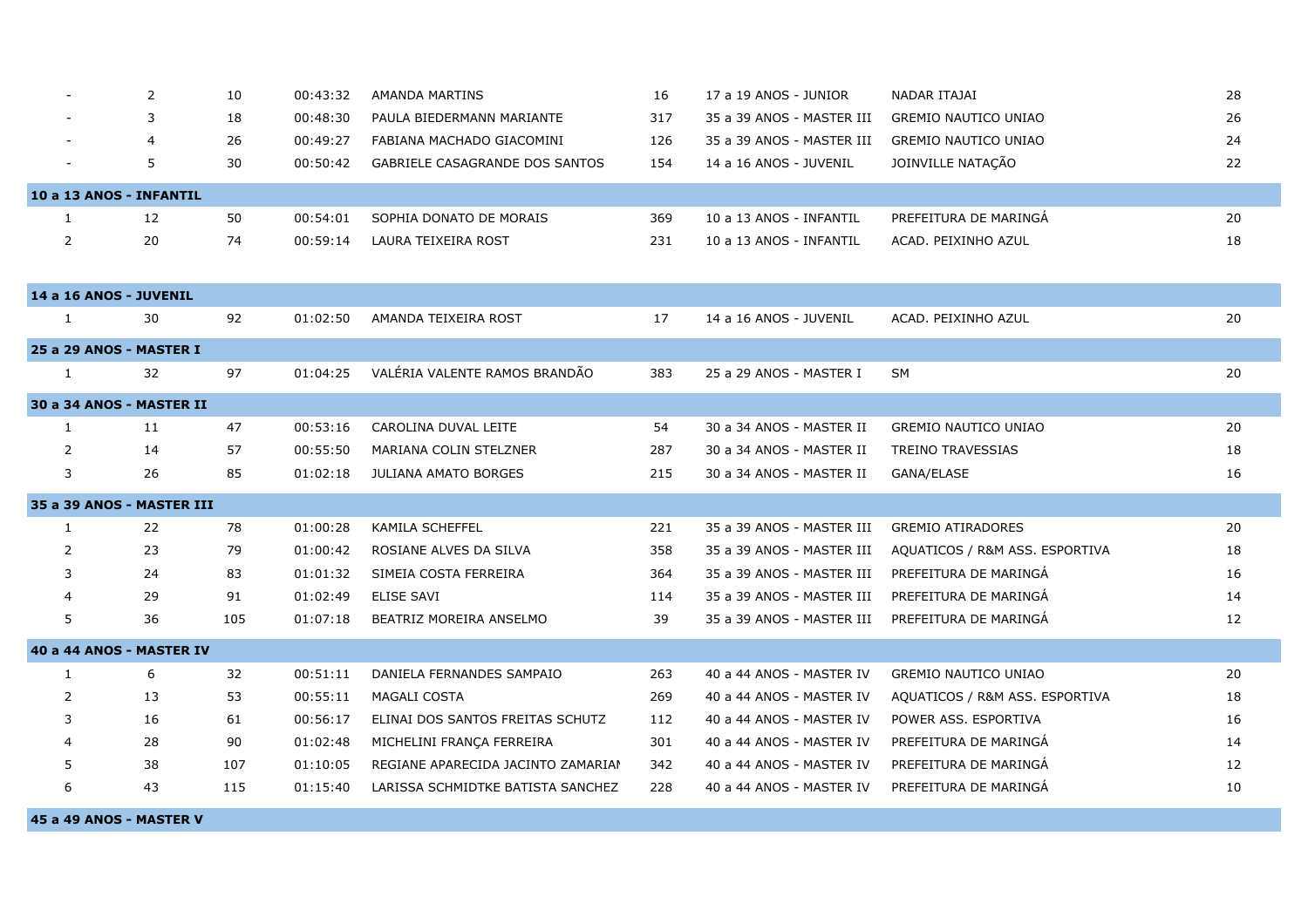|              | 2                         | 10  | 00:43:32 | AMANDA MARTINS                     | 16  | 17 a 19 ANOS - JUNIOR     | NADAR ITAJAI                   | 28 |
|--------------|---------------------------|-----|----------|------------------------------------|-----|---------------------------|--------------------------------|----|
|              | 3                         | 18  | 00:48:30 | PAULA BIEDERMANN MARIANTE          | 317 | 35 a 39 ANOS - MASTER III | <b>GREMIO NAUTICO UNIAO</b>    | 26 |
|              | 4                         | 26  | 00:49:27 | FABIANA MACHADO GIACOMINI          | 126 | 35 a 39 ANOS - MASTER III | <b>GREMIO NAUTICO UNIAO</b>    | 24 |
|              | 5                         | 30  | 00:50:42 | GABRIELE CASAGRANDE DOS SANTOS     | 154 | 14 a 16 ANOS - JUVENIL    | JOINVILLE NATAÇÃO              | 22 |
|              |                           |     |          |                                    |     |                           |                                |    |
|              | 10 a 13 ANOS - INFANTIL   |     |          |                                    |     |                           |                                |    |
| $\mathbf{1}$ | 12                        | 50  | 00:54:01 | SOPHIA DONATO DE MORAIS            | 369 | 10 a 13 ANOS - INFANTIL   | PREFEITURA DE MARINGA          | 20 |
| 2            | 20                        | 74  | 00:59:14 | LAURA TEIXEIRA ROST                | 231 | 10 a 13 ANOS - INFANTIL   | ACAD. PEIXINHO AZUL            | 18 |
|              |                           |     |          |                                    |     |                           |                                |    |
|              | 14 a 16 ANOS - JUVENIL    |     |          |                                    |     |                           |                                |    |
| $\mathbf{1}$ | 30                        | 92  | 01:02:50 | AMANDA TEIXEIRA ROST               | 17  | 14 a 16 ANOS - JUVENIL    | ACAD. PEIXINHO AZUL            | 20 |
|              | 25 a 29 ANOS - MASTER I   |     |          |                                    |     |                           |                                |    |
| $\mathbf{1}$ | 32                        | 97  | 01:04:25 | VALÉRIA VALENTE RAMOS BRANDÃO      | 383 | 25 a 29 ANOS - MASTER I   | <b>SM</b>                      | 20 |
|              |                           |     |          |                                    |     |                           |                                |    |
|              | 30 a 34 ANOS - MASTER II  |     |          |                                    |     |                           |                                |    |
| $\mathbf{1}$ | 11                        | 47  | 00:53:16 | CAROLINA DUVAL LEITE               | 54  | 30 a 34 ANOS - MASTER II  | <b>GREMIO NAUTICO UNIAO</b>    | 20 |
| 2            | 14                        | 57  | 00:55:50 | MARIANA COLIN STELZNER             | 287 | 30 a 34 ANOS - MASTER II  | <b>TREINO TRAVESSIAS</b>       | 18 |
| 3            | 26                        | 85  | 01:02:18 | <b>JULIANA AMATO BORGES</b>        | 215 | 30 a 34 ANOS - MASTER II  | GANA/ELASE                     | 16 |
|              | 35 a 39 ANOS - MASTER III |     |          |                                    |     |                           |                                |    |
| $\mathbf{1}$ | 22                        | 78  | 01:00:28 | <b>KAMILA SCHEFFEL</b>             | 221 | 35 a 39 ANOS - MASTER III | <b>GREMIO ATIRADORES</b>       | 20 |
| 2            | 23                        | 79  | 01:00:42 | ROSIANE ALVES DA SILVA             | 358 | 35 a 39 ANOS - MASTER III | AQUATICOS / R&M ASS. ESPORTIVA | 18 |
| 3            | 24                        | 83  | 01:01:32 | SIMEIA COSTA FERREIRA              | 364 | 35 a 39 ANOS - MASTER III | PREFEITURA DE MARINGA          | 16 |
| 4            | 29                        | 91  | 01:02:49 | ELISE SAVI                         | 114 | 35 a 39 ANOS - MASTER III | PREFEITURA DE MARINGA          | 14 |
| 5            | 36                        | 105 | 01:07:18 | BEATRIZ MOREIRA ANSELMO            | 39  | 35 a 39 ANOS - MASTER III | PREFEITURA DE MARINGA          | 12 |
|              | 40 a 44 ANOS - MASTER IV  |     |          |                                    |     |                           |                                |    |
| $\mathbf{1}$ | 6                         | 32  | 00:51:11 | DANIELA FERNANDES SAMPAIO          | 263 | 40 a 44 ANOS - MASTER IV  | <b>GREMIO NAUTICO UNIAO</b>    | 20 |
| 2            | 13                        | 53  | 00:55:11 | MAGALI COSTA                       | 269 | 40 a 44 ANOS - MASTER IV  | AQUATICOS / R&M ASS. ESPORTIVA | 18 |
| 3            | 16                        | 61  | 00:56:17 | ELINAI DOS SANTOS FREITAS SCHUTZ   | 112 | 40 a 44 ANOS - MASTER IV  | POWER ASS. ESPORTIVA           | 16 |
|              | 28                        | 90  | 01:02:48 | MICHELINI FRANÇA FERREIRA          | 301 | 40 a 44 ANOS - MASTER IV  | PREFEITURA DE MARINGA          | 14 |
| 5            | 38                        | 107 | 01:10:05 | REGIANE APARECIDA JACINTO ZAMARIAN | 342 | 40 a 44 ANOS - MASTER IV  | PREFEITURA DE MARINGA          | 12 |
| 6            | 43                        | 115 | 01:15:40 | LARISSA SCHMIDTKE BATISTA SANCHEZ  | 228 | 40 a 44 ANOS - MASTER IV  | PREFEITURA DE MARINGA          | 10 |
|              |                           |     |          |                                    |     |                           |                                |    |

**45 a 49 ANOS - MASTER V**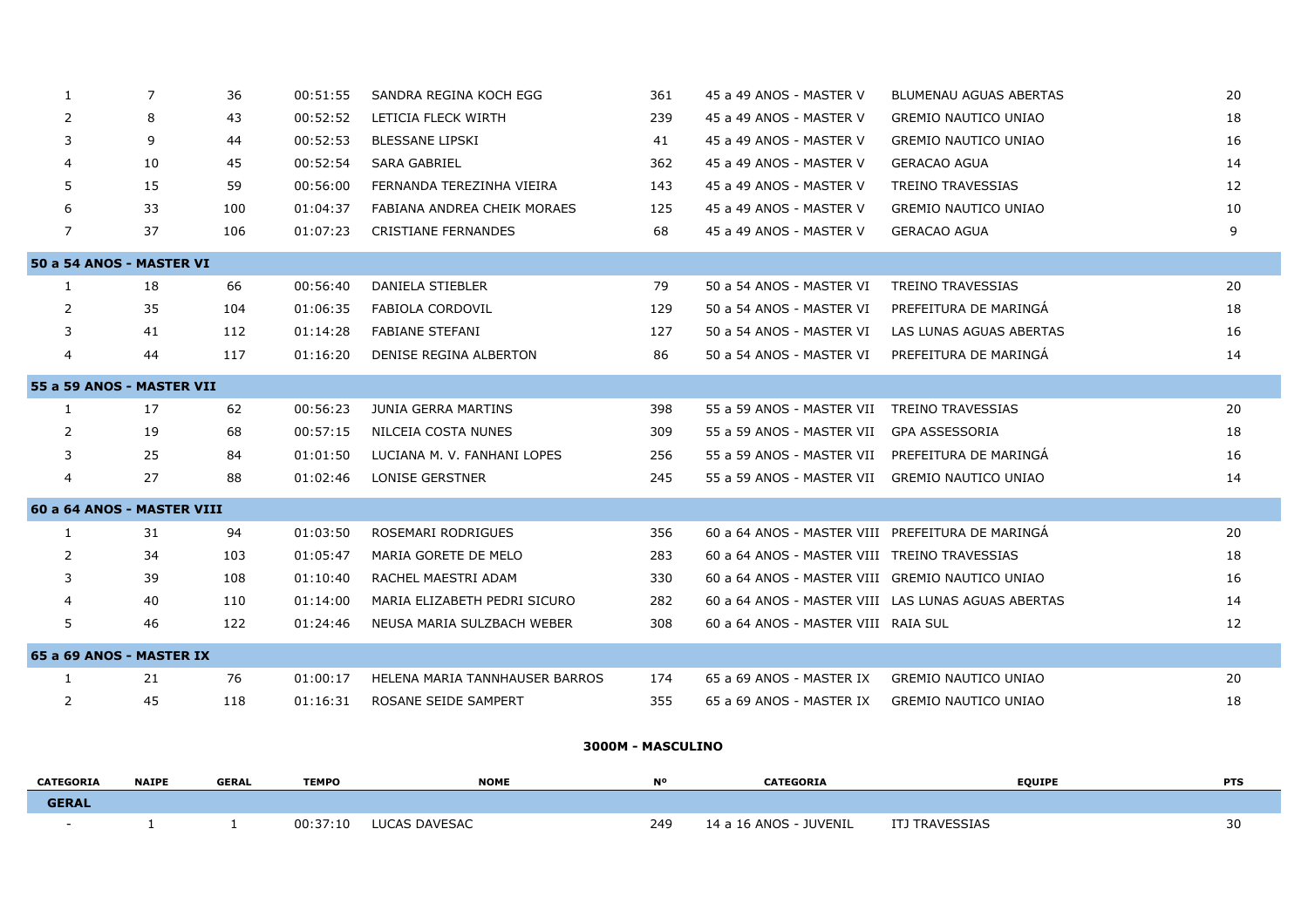| 1              | 7                          | 36  | 00:51:55 | SANDRA REGINA KOCH EGG         | 361 | 45 a 49 ANOS - MASTER V                          | <b>BLUMENAU AGUAS ABERTAS</b>                      | 20 |
|----------------|----------------------------|-----|----------|--------------------------------|-----|--------------------------------------------------|----------------------------------------------------|----|
| 2              | 8                          | 43  | 00:52:52 | LETICIA FLECK WIRTH            | 239 | 45 a 49 ANOS - MASTER V                          | <b>GREMIO NAUTICO UNIAO</b>                        | 18 |
| 3              | 9                          | 44  | 00:52:53 | <b>BLESSANE LIPSKI</b>         | 41  | 45 a 49 ANOS - MASTER V                          | <b>GREMIO NAUTICO UNIAO</b>                        | 16 |
| 4              | 10                         | 45  | 00:52:54 | SARA GABRIEL                   | 362 | 45 a 49 ANOS - MASTER V                          | GERACAO AGUA                                       | 14 |
| 5              | 15                         | 59  | 00:56:00 | FERNANDA TEREZINHA VIEIRA      | 143 | 45 a 49 ANOS - MASTER V                          | TREINO TRAVESSIAS                                  | 12 |
| 6              | 33                         | 100 | 01:04:37 | FABIANA ANDREA CHEIK MORAES    | 125 | 45 a 49 ANOS - MASTER V                          | <b>GREMIO NAUTICO UNIAO</b>                        | 10 |
| 7              | 37                         | 106 | 01:07:23 | <b>CRISTIANE FERNANDES</b>     | 68  | 45 a 49 ANOS - MASTER V                          | GERACAO AGUA                                       | 9  |
|                | 50 a 54 ANOS - MASTER VI   |     |          |                                |     |                                                  |                                                    |    |
| $\mathbf{1}$   | 18                         | 66  | 00:56:40 | DANIELA STIEBLER               | 79  | 50 a 54 ANOS - MASTER VI                         | <b>TREINO TRAVESSIAS</b>                           | 20 |
| 2              | 35                         | 104 | 01:06:35 | FABIOLA CORDOVIL               | 129 | 50 a 54 ANOS - MASTER VI                         | PREFEITURA DE MARINGA                              | 18 |
| 3              | 41                         | 112 | 01:14:28 | <b>FABIANE STEFANI</b>         | 127 | 50 a 54 ANOS - MASTER VI                         | LAS LUNAS AGUAS ABERTAS                            | 16 |
| 4              | 44                         | 117 | 01:16:20 | DENISE REGINA ALBERTON         | 86  | 50 a 54 ANOS - MASTER VI                         | PREFEITURA DE MARINGA                              | 14 |
|                | 55 a 59 ANOS - MASTER VII  |     |          |                                |     |                                                  |                                                    |    |
| $\mathbf{1}$   | 17                         | 62  | 00:56:23 | <b>JUNIA GERRA MARTINS</b>     | 398 | 55 a 59 ANOS - MASTER VII TREINO TRAVESSIAS      |                                                    | 20 |
| 2              | 19                         | 68  | 00:57:15 | NILCEIA COSTA NUNES            | 309 | 55 a 59 ANOS - MASTER VII GPA ASSESSORIA         |                                                    | 18 |
| 3              | 25                         | 84  | 01:01:50 | LUCIANA M. V. FANHANI LOPES    | 256 | 55 a 59 ANOS - MASTER VII PREFEITURA DE MARINGA  |                                                    | 16 |
| 4              | 27                         | 88  | 01:02:46 | LONISE GERSTNER                | 245 | 55 a 59 ANOS - MASTER VII GREMIO NAUTICO UNIAO   |                                                    | 14 |
|                | 60 a 64 ANOS - MASTER VIII |     |          |                                |     |                                                  |                                                    |    |
| $\mathbf{1}$   | 31                         | 94  | 01:03:50 | ROSEMARI RODRIGUES             | 356 | 60 a 64 ANOS - MASTER VIII PREFEITURA DE MARINGÁ |                                                    | 20 |
| 2              | 34                         | 103 | 01:05:47 | MARIA GORETE DE MELO           | 283 | 60 a 64 ANOS - MASTER VIII TREINO TRAVESSIAS     |                                                    | 18 |
| 3              | 39                         | 108 | 01:10:40 | RACHEL MAESTRI ADAM            | 330 | 60 a 64 ANOS - MASTER VIII GREMIO NAUTICO UNIAO  |                                                    | 16 |
| $\overline{4}$ | 40                         | 110 | 01:14:00 | MARIA ELIZABETH PEDRI SICURO   | 282 |                                                  | 60 a 64 ANOS - MASTER VIII LAS LUNAS AGUAS ABERTAS | 14 |
| 5              | 46                         | 122 | 01:24:46 | NEUSA MARIA SULZBACH WEBER     | 308 | 60 a 64 ANOS - MASTER VIII RAIA SUL              |                                                    | 12 |
|                | 65 a 69 ANOS - MASTER IX   |     |          |                                |     |                                                  |                                                    |    |
| 1              | 21                         | 76  | 01:00:17 | HELENA MARIA TANNHAUSER BARROS | 174 | 65 a 69 ANOS - MASTER IX                         | <b>GREMIO NAUTICO UNIAO</b>                        | 20 |
| 2              | 45                         | 118 | 01:16:31 | ROSANE SEIDE SAMPERT           | 355 | 65 a 69 ANOS - MASTER IX                         | <b>GREMIO NAUTICO UNIAO</b>                        | 18 |

# **3000M - MASCULINO**

| <b>CATEGORIA</b> | <b>NAIPE</b> | <b>GERAL</b> | <b>TEMPO</b> | <b>NOME</b>   | $N^{c}$ | <b>CATEGORIA</b>       | <b>EQUIPE</b>         | <b>PTS</b> |
|------------------|--------------|--------------|--------------|---------------|---------|------------------------|-----------------------|------------|
| <b>GERAL</b>     |              |              |              |               |         |                        |                       |            |
|                  |              |              | 00:37:10     | LUCAS DAVESAC | 249     | 14 a 16 ANOS - JUVENIL | <b>ITJ TRAVESSIAS</b> |            |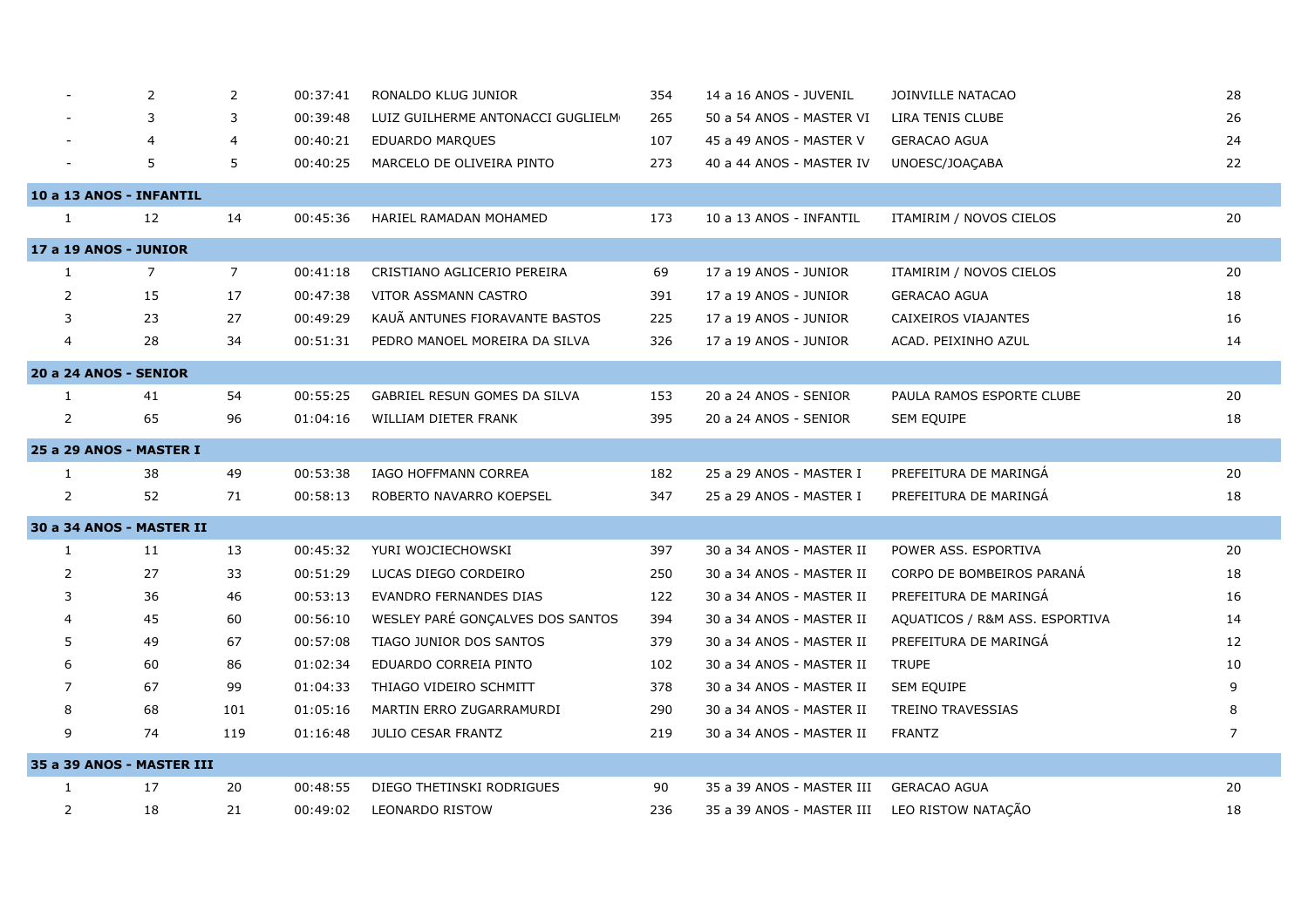|                | 2                         | $\overline{2}$ | 00:37:41 | RONALDO KLUG JUNIOR               | 354 | 14 a 16 ANOS - JUVENIL                       | <b>JOINVILLE NATACAO</b>       | 28 |
|----------------|---------------------------|----------------|----------|-----------------------------------|-----|----------------------------------------------|--------------------------------|----|
|                | 3                         | 3              | 00:39:48 | LUIZ GUILHERME ANTONACCI GUGLIELM | 265 | 50 a 54 ANOS - MASTER VI                     | LIRA TENIS CLUBE               | 26 |
|                | $\overline{4}$            | $\overline{4}$ | 00:40:21 | <b>EDUARDO MARQUES</b>            | 107 | 45 a 49 ANOS - MASTER V                      | <b>GERACAO AGUA</b>            | 24 |
|                | 5                         | 5              | 00:40:25 | MARCELO DE OLIVEIRA PINTO         | 273 | 40 a 44 ANOS - MASTER IV                     | UNOESC/JOAÇABA                 | 22 |
|                | 10 a 13 ANOS - INFANTIL   |                |          |                                   |     |                                              |                                |    |
| $\mathbf{1}$   | 12                        | 14             | 00:45:36 | HARIEL RAMADAN MOHAMED            | 173 | 10 a 13 ANOS - INFANTIL                      | ITAMIRIM / NOVOS CIELOS        | 20 |
|                | 17 a 19 ANOS - JUNIOR     |                |          |                                   |     |                                              |                                |    |
| 1              | $\overline{7}$            | $\overline{7}$ | 00:41:18 | CRISTIANO AGLICERIO PEREIRA       | 69  | 17 a 19 ANOS - JUNIOR                        | ITAMIRIM / NOVOS CIELOS        | 20 |
| 2              | 15                        | 17             | 00:47:38 | VITOR ASSMANN CASTRO              | 391 | 17 a 19 ANOS - JUNIOR                        | <b>GERACAO AGUA</b>            | 18 |
| 3              | 23                        | 27             | 00:49:29 | KAUA ANTUNES FIORAVANTE BASTOS    | 225 | 17 a 19 ANOS - JUNIOR                        | CAIXEIROS VIAJANTES            | 16 |
| 4              | 28                        | 34             | 00:51:31 | PEDRO MANOEL MOREIRA DA SILVA     | 326 | 17 a 19 ANOS - JUNIOR                        | ACAD. PEIXINHO AZUL            | 14 |
|                | 20 a 24 ANOS - SENIOR     |                |          |                                   |     |                                              |                                |    |
| $\mathbf{1}$   | 41                        | 54             | 00:55:25 | GABRIEL RESUN GOMES DA SILVA      | 153 | 20 a 24 ANOS - SENIOR                        | PAULA RAMOS ESPORTE CLUBE      | 20 |
| 2              | 65                        | 96             | 01:04:16 | WILLIAM DIETER FRANK              | 395 | 20 a 24 ANOS - SENIOR                        | <b>SEM EQUIPE</b>              | 18 |
|                | 25 a 29 ANOS - MASTER I   |                |          |                                   |     |                                              |                                |    |
| $\mathbf{1}$   | 38                        | 49             | 00:53:38 | <b>IAGO HOFFMANN CORREA</b>       | 182 | 25 a 29 ANOS - MASTER I                      | PREFEITURA DE MARINGÁ          | 20 |
| 2              | 52                        | 71             | 00:58:13 | ROBERTO NAVARRO KOEPSEL           | 347 | 25 a 29 ANOS - MASTER I                      | PREFEITURA DE MARINGA          | 18 |
|                | 30 a 34 ANOS - MASTER II  |                |          |                                   |     |                                              |                                |    |
| $\mathbf{1}$   | 11                        | 13             | 00:45:32 | YURI WOJCIECHOWSKI                | 397 | 30 a 34 ANOS - MASTER II                     | POWER ASS. ESPORTIVA           | 20 |
| $\overline{2}$ | 27                        | 33             | 00:51:29 | LUCAS DIEGO CORDEIRO              | 250 | 30 a 34 ANOS - MASTER II                     | CORPO DE BOMBEIROS PARANA      | 18 |
| 3              | 36                        | 46             | 00:53:13 | EVANDRO FERNANDES DIAS            | 122 | 30 a 34 ANOS - MASTER II                     | PREFEITURA DE MARINGA          | 16 |
| 4              | 45                        | 60             | 00:56:10 | WESLEY PARÉ GONÇALVES DOS SANTOS  | 394 | 30 a 34 ANOS - MASTER II                     | AQUATICOS / R&M ASS. ESPORTIVA | 14 |
| 5              | 49                        | 67             | 00:57:08 | TIAGO JUNIOR DOS SANTOS           | 379 | 30 a 34 ANOS - MASTER II                     | PREFEITURA DE MARINGA          | 12 |
| 6              | 60                        | 86             | 01:02:34 | EDUARDO CORREIA PINTO             | 102 | 30 a 34 ANOS - MASTER II                     | <b>TRUPE</b>                   | 10 |
| 7              | 67                        | 99             | 01:04:33 | THIAGO VIDEIRO SCHMITT            | 378 | 30 a 34 ANOS - MASTER II                     | SEM EQUIPE                     | 9  |
| 8              | 68                        | 101            | 01:05:16 | MARTIN ERRO ZUGARRAMURDI          | 290 | 30 a 34 ANOS - MASTER II                     | <b>TREINO TRAVESSIAS</b>       | 8  |
| 9              | 74                        | 119            | 01:16:48 | <b>JULIO CESAR FRANTZ</b>         | 219 | 30 a 34 ANOS - MASTER II                     | <b>FRANTZ</b>                  | 7  |
|                | 35 a 39 ANOS - MASTER III |                |          |                                   |     |                                              |                                |    |
| $\mathbf{1}$   | 17                        | 20             | 00:48:55 | DIEGO THETINSKI RODRIGUES         | 90  | 35 a 39 ANOS - MASTER III                    | <b>GERACAO AGUA</b>            | 20 |
| 2              | 18                        | 21             | 00:49:02 | <b>LEONARDO RISTOW</b>            | 236 | 35 a 39 ANOS - MASTER III LEO RISTOW NATAÇÃO |                                | 18 |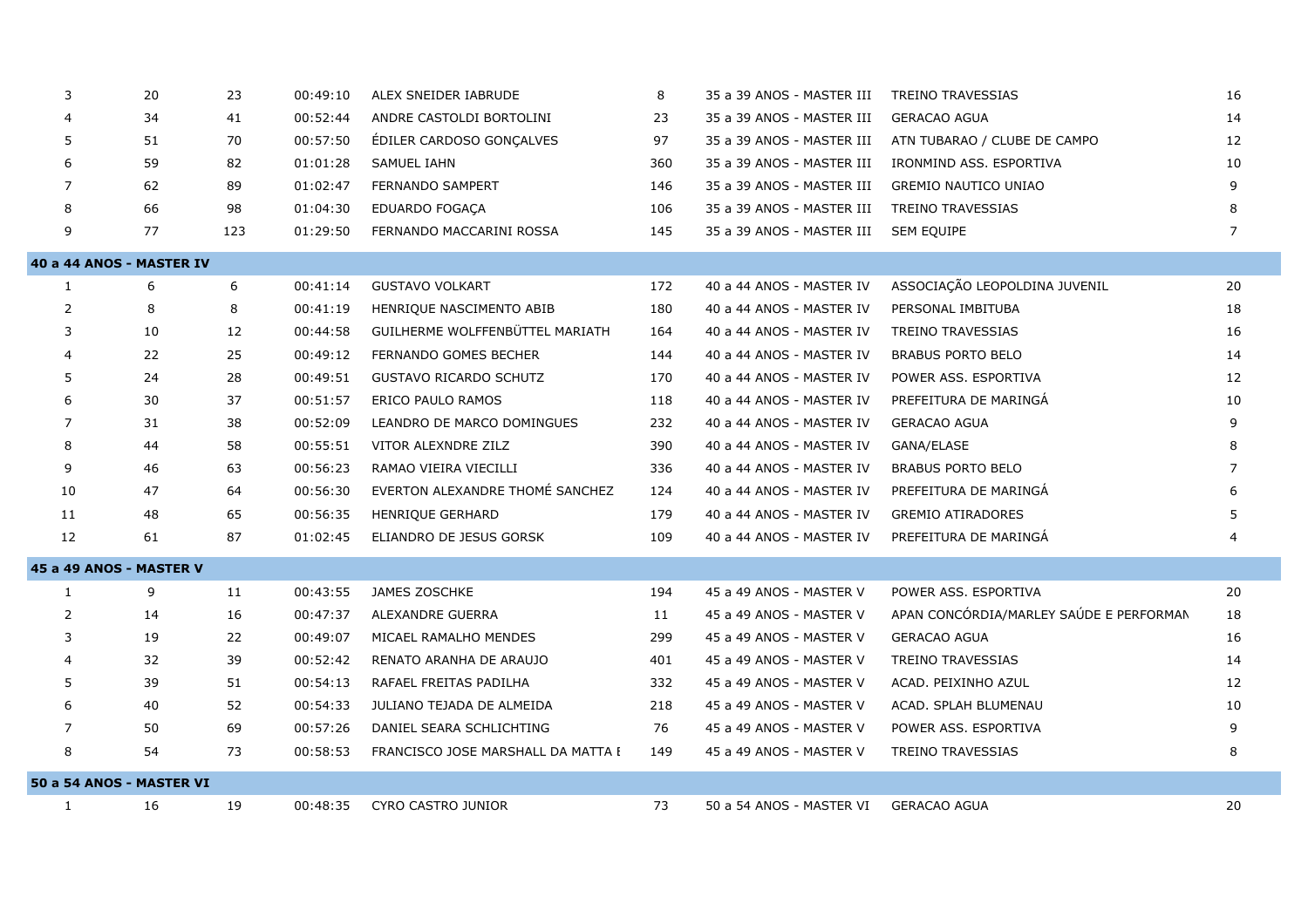| 3              | 20                       | 23  | 00:49:10 | ALEX SNEIDER IABRUDE               | 8   | 35 a 39 ANOS - MASTER III | <b>TREINO TRAVESSIAS</b>                | 16             |
|----------------|--------------------------|-----|----------|------------------------------------|-----|---------------------------|-----------------------------------------|----------------|
|                | 34                       | 41  | 00:52:44 | ANDRE CASTOLDI BORTOLINI           | 23  | 35 a 39 ANOS - MASTER III | <b>GERACAO AGUA</b>                     | 14             |
| 5              | 51                       | 70  | 00:57:50 | ÉDILER CARDOSO GONÇALVES           | 97  | 35 a 39 ANOS - MASTER III | ATN TUBARAO / CLUBE DE CAMPO            | 12             |
| 6              | 59                       | 82  | 01:01:28 | <b>SAMUEL IAHN</b>                 | 360 | 35 a 39 ANOS - MASTER III | IRONMIND ASS. ESPORTIVA                 | 10             |
| $\overline{7}$ | 62                       | 89  | 01:02:47 | <b>FERNANDO SAMPERT</b>            | 146 | 35 a 39 ANOS - MASTER III | <b>GREMIO NAUTICO UNIAO</b>             | 9              |
| 8              | 66                       | 98  | 01:04:30 | EDUARDO FOGAÇA                     | 106 | 35 a 39 ANOS - MASTER III | TREINO TRAVESSIAS                       | 8              |
| 9              | 77                       | 123 | 01:29:50 | FERNANDO MACCARINI ROSSA           | 145 | 35 a 39 ANOS - MASTER III | <b>SEM EQUIPE</b>                       | $\overline{7}$ |
|                | 40 a 44 ANOS - MASTER IV |     |          |                                    |     |                           |                                         |                |
| $\mathbf{1}$   | 6                        | 6   | 00:41:14 | <b>GUSTAVO VOLKART</b>             | 172 | 40 a 44 ANOS - MASTER IV  | ASSOCIAÇÃO LEOPOLDINA JUVENIL           | 20             |
| 2              | 8                        | 8   | 00:41:19 | HENRIQUE NASCIMENTO ABIB           | 180 | 40 a 44 ANOS - MASTER IV  | PERSONAL IMBITUBA                       | 18             |
| 3              | 10                       | 12  | 00:44:58 | GUILHERME WOLFFENBÜTTEL MARIATH    | 164 | 40 a 44 ANOS - MASTER IV  | <b>TREINO TRAVESSIAS</b>                | 16             |
| $\overline{4}$ | 22                       | 25  | 00:49:12 | FERNANDO GOMES BECHER              | 144 | 40 a 44 ANOS - MASTER IV  | <b>BRABUS PORTO BELO</b>                | 14             |
| 5              | 24                       | 28  | 00:49:51 | <b>GUSTAVO RICARDO SCHUTZ</b>      | 170 | 40 a 44 ANOS - MASTER IV  | POWER ASS. ESPORTIVA                    | 12             |
| 6              | 30                       | 37  | 00:51:57 | ERICO PAULO RAMOS                  | 118 | 40 a 44 ANOS - MASTER IV  | PREFEITURA DE MARINGA                   | 10             |
| $\overline{7}$ | 31                       | 38  | 00:52:09 | LEANDRO DE MARCO DOMINGUES         | 232 | 40 a 44 ANOS - MASTER IV  | <b>GERACAO AGUA</b>                     | 9              |
| 8              | 44                       | 58  | 00:55:51 | VITOR ALEXNDRE ZILZ                | 390 | 40 a 44 ANOS - MASTER IV  | GANA/ELASE                              | 8              |
| 9              | 46                       | 63  | 00:56:23 | RAMAO VIEIRA VIECILLI              | 336 | 40 a 44 ANOS - MASTER IV  | <b>BRABUS PORTO BELO</b>                | 7              |
| 10             | 47                       | 64  | 00:56:30 | EVERTON ALEXANDRE THOME SANCHEZ    | 124 | 40 a 44 ANOS - MASTER IV  | PREFEITURA DE MARINGA                   |                |
| 11             | 48                       | 65  | 00:56:35 | HENRIQUE GERHARD                   | 179 | 40 a 44 ANOS - MASTER IV  | <b>GREMIO ATIRADORES</b>                |                |
| 12             | 61                       | 87  | 01:02:45 | ELIANDRO DE JESUS GORSK            | 109 | 40 a 44 ANOS - MASTER IV  | PREFEITURA DE MARINGA                   |                |
|                | 45 a 49 ANOS - MASTER V  |     |          |                                    |     |                           |                                         |                |
| 1              | 9                        | 11  | 00:43:55 | JAMES ZOSCHKE                      | 194 | 45 a 49 ANOS - MASTER V   | POWER ASS. ESPORTIVA                    | 20             |
| 2              | 14                       | 16  | 00:47:37 | ALEXANDRE GUERRA                   | 11  | 45 a 49 ANOS - MASTER V   | APAN CONCÓRDIA/MARLEY SAÚDE E PERFORMAN | 18             |
| 3              | 19                       | 22  | 00:49:07 | MICAEL RAMALHO MENDES              | 299 | 45 a 49 ANOS - MASTER V   | <b>GERACAO AGUA</b>                     | 16             |
| 4              | 32                       | 39  | 00:52:42 | RENATO ARANHA DE ARAUJO            | 401 | 45 a 49 ANOS - MASTER V   | <b>TREINO TRAVESSIAS</b>                | 14             |
| 5              | 39                       | 51  | 00:54:13 | RAFAEL FREITAS PADILHA             | 332 | 45 a 49 ANOS - MASTER V   | ACAD. PEIXINHO AZUL                     | 12             |
| 6              | 40                       | 52  | 00:54:33 | JULIANO TEJADA DE ALMEIDA          | 218 | 45 a 49 ANOS - MASTER V   | ACAD. SPLAH BLUMENAU                    | 10             |
| 7              | 50                       | 69  | 00:57:26 | DANIEL SEARA SCHLICHTING           | 76  | 45 a 49 ANOS - MASTER V   | POWER ASS. ESPORTIVA                    | 9              |
| 8              | 54                       | 73  | 00:58:53 | FRANCISCO JOSE MARSHALL DA MATTA E | 149 | 45 a 49 ANOS - MASTER V   | <b>TREINO TRAVESSIAS</b>                | 8              |
|                | 50 a 54 ANOS - MASTER VI |     |          |                                    |     |                           |                                         |                |
| 1              | 16                       | 19  | 00:48:35 | CYRO CASTRO JUNIOR                 | 73  | 50 a 54 ANOS - MASTER VI  | <b>GERACAO AGUA</b>                     | 20             |